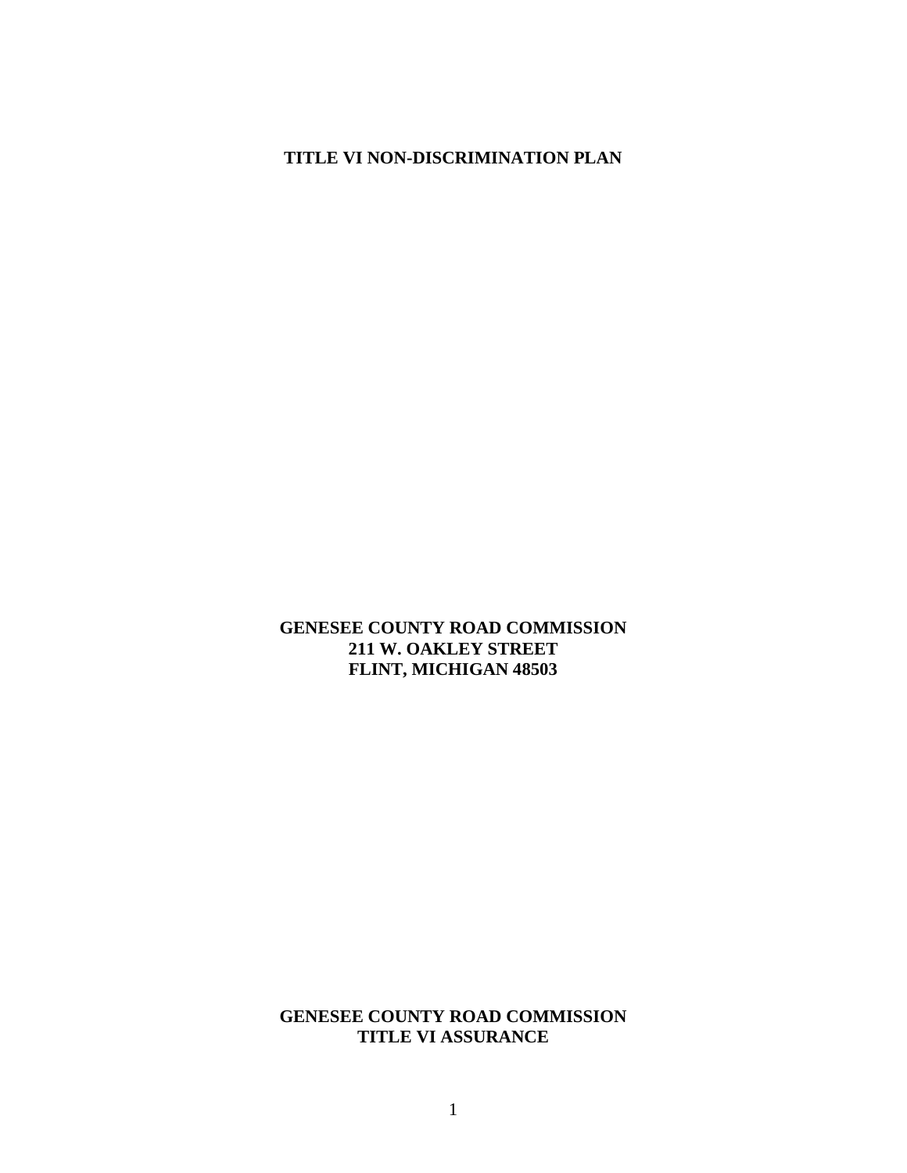### **TITLE VI NON-DISCRIMINATION PLAN**

#### **GENESEE COUNTY ROAD COMMISSION 211 W. OAKLEY STREET FLINT, MICHIGAN 48503**

## **GENESEE COUNTY ROAD COMMISSION TITLE VI ASSURANCE**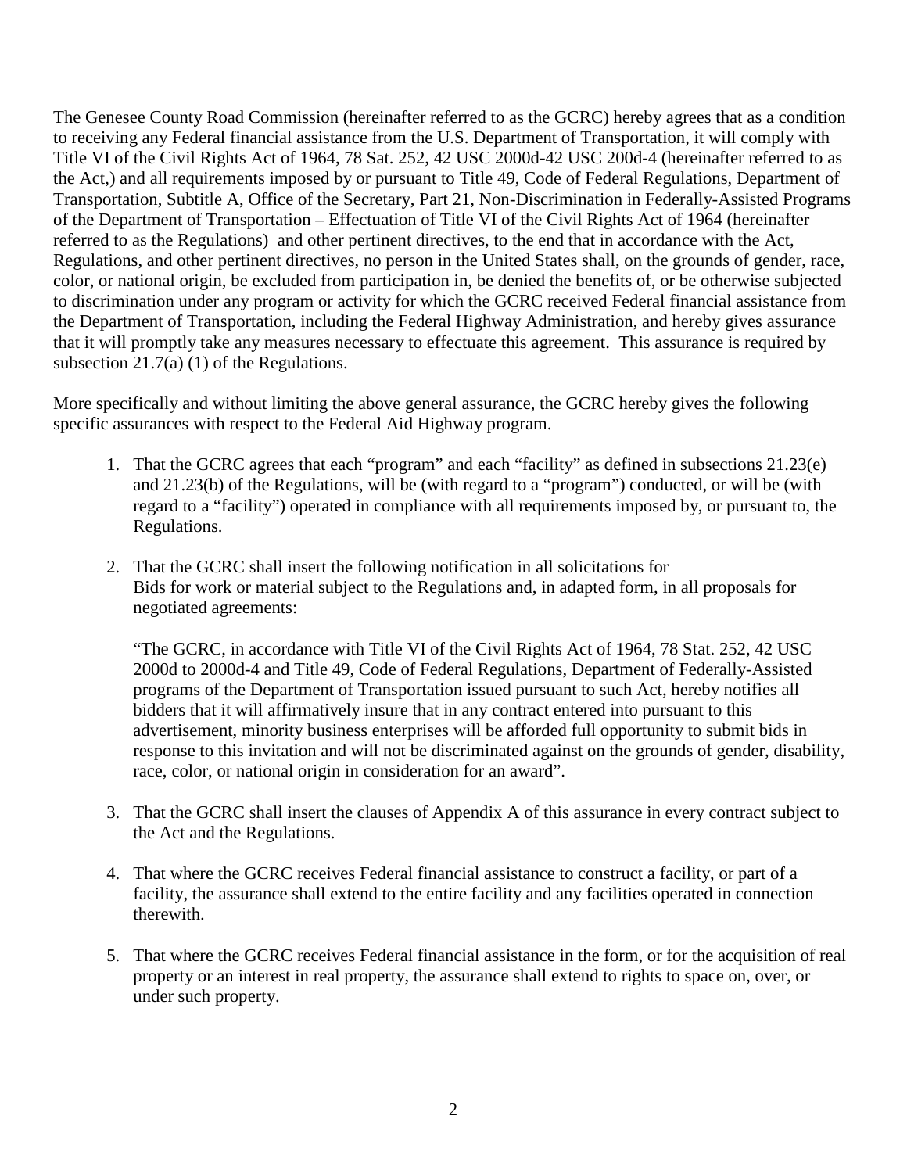The Genesee County Road Commission (hereinafter referred to as the GCRC) hereby agrees that as a condition to receiving any Federal financial assistance from the U.S. Department of Transportation, it will comply with Title VI of the Civil Rights Act of 1964, 78 Sat. 252, 42 USC 2000d-42 USC 200d-4 (hereinafter referred to as the Act,) and all requirements imposed by or pursuant to Title 49, Code of Federal Regulations, Department of Transportation, Subtitle A, Office of the Secretary, Part 21, Non-Discrimination in Federally-Assisted Programs of the Department of Transportation – Effectuation of Title VI of the Civil Rights Act of 1964 (hereinafter referred to as the Regulations) and other pertinent directives, to the end that in accordance with the Act, Regulations, and other pertinent directives, no person in the United States shall, on the grounds of gender, race, color, or national origin, be excluded from participation in, be denied the benefits of, or be otherwise subjected to discrimination under any program or activity for which the GCRC received Federal financial assistance from the Department of Transportation, including the Federal Highway Administration, and hereby gives assurance that it will promptly take any measures necessary to effectuate this agreement. This assurance is required by subsection 21.7(a) (1) of the Regulations.

More specifically and without limiting the above general assurance, the GCRC hereby gives the following specific assurances with respect to the Federal Aid Highway program.

- 1. That the GCRC agrees that each "program" and each "facility" as defined in subsections 21.23(e) and 21.23(b) of the Regulations, will be (with regard to a "program") conducted, or will be (with regard to a "facility") operated in compliance with all requirements imposed by, or pursuant to, the Regulations.
- 2. That the GCRC shall insert the following notification in all solicitations for Bids for work or material subject to the Regulations and, in adapted form, in all proposals for negotiated agreements:

"The GCRC, in accordance with Title VI of the Civil Rights Act of 1964, 78 Stat. 252, 42 USC 2000d to 2000d-4 and Title 49, Code of Federal Regulations, Department of Federally-Assisted programs of the Department of Transportation issued pursuant to such Act, hereby notifies all bidders that it will affirmatively insure that in any contract entered into pursuant to this advertisement, minority business enterprises will be afforded full opportunity to submit bids in response to this invitation and will not be discriminated against on the grounds of gender, disability, race, color, or national origin in consideration for an award".

- 3. That the GCRC shall insert the clauses of Appendix A of this assurance in every contract subject to the Act and the Regulations.
- 4. That where the GCRC receives Federal financial assistance to construct a facility, or part of a facility, the assurance shall extend to the entire facility and any facilities operated in connection therewith.
- 5. That where the GCRC receives Federal financial assistance in the form, or for the acquisition of real property or an interest in real property, the assurance shall extend to rights to space on, over, or under such property.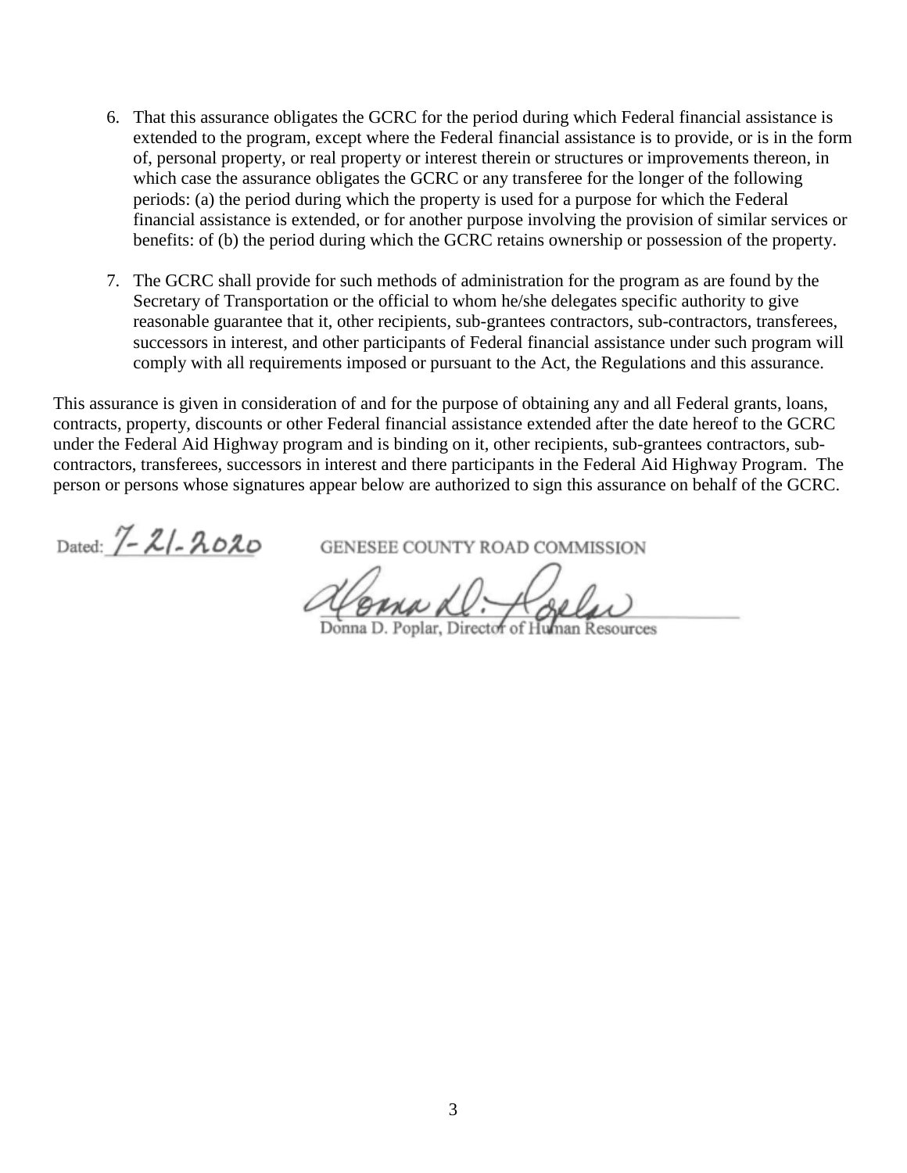- 6. That this assurance obligates the GCRC for the period during which Federal financial assistance is extended to the program, except where the Federal financial assistance is to provide, or is in the form of, personal property, or real property or interest therein or structures or improvements thereon, in which case the assurance obligates the GCRC or any transferee for the longer of the following periods: (a) the period during which the property is used for a purpose for which the Federal financial assistance is extended, or for another purpose involving the provision of similar services or benefits: of (b) the period during which the GCRC retains ownership or possession of the property.
- 7. The GCRC shall provide for such methods of administration for the program as are found by the Secretary of Transportation or the official to whom he/she delegates specific authority to give reasonable guarantee that it, other recipients, sub-grantees contractors, sub-contractors, transferees, successors in interest, and other participants of Federal financial assistance under such program will comply with all requirements imposed or pursuant to the Act, the Regulations and this assurance.

This assurance is given in consideration of and for the purpose of obtaining any and all Federal grants, loans, contracts, property, discounts or other Federal financial assistance extended after the date hereof to the GCRC under the Federal Aid Highway program and is binding on it, other recipients, sub-grantees contractors, subcontractors, transferees, successors in interest and there participants in the Federal Aid Highway Program. The person or persons whose signatures appear below are authorized to sign this assurance on behalf of the GCRC.

Dated:  $\angle$  -  $\angle$  -  $\angle$  -  $\angle$   $\angle$  -  $\angle$   $\angle$   $\angle$   $\angle$   $\angle$   $\angle$  GENESEE COUNTY ROAD COMMISSION

\_\_\_\_\_\_\_\_\_\_\_\_\_\_\_\_\_\_\_\_\_\_\_\_\_\_\_\_\_\_\_\_\_\_\_\_\_\_\_\_\_\_\_\_\_\_\_\_

Donna D. Poplar, Director of Human Resources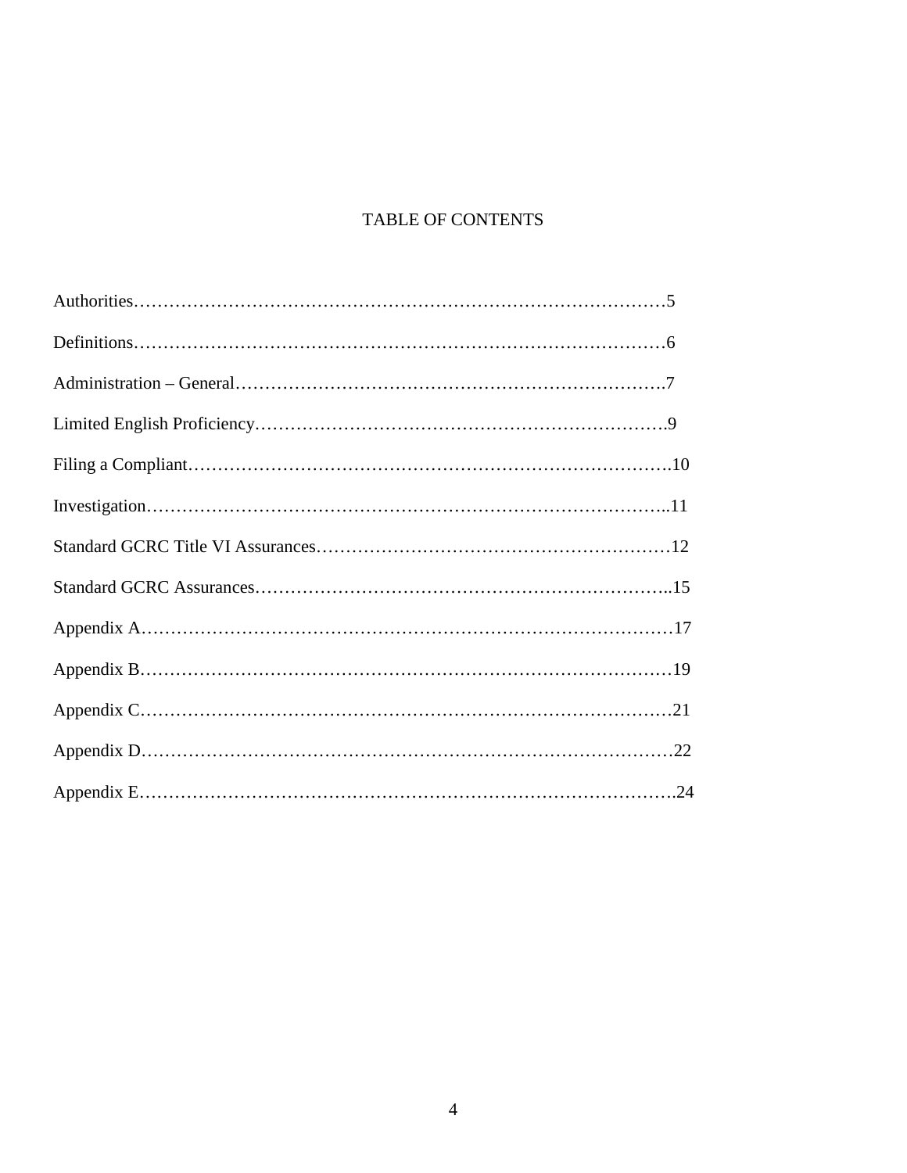# TABLE OF CONTENTS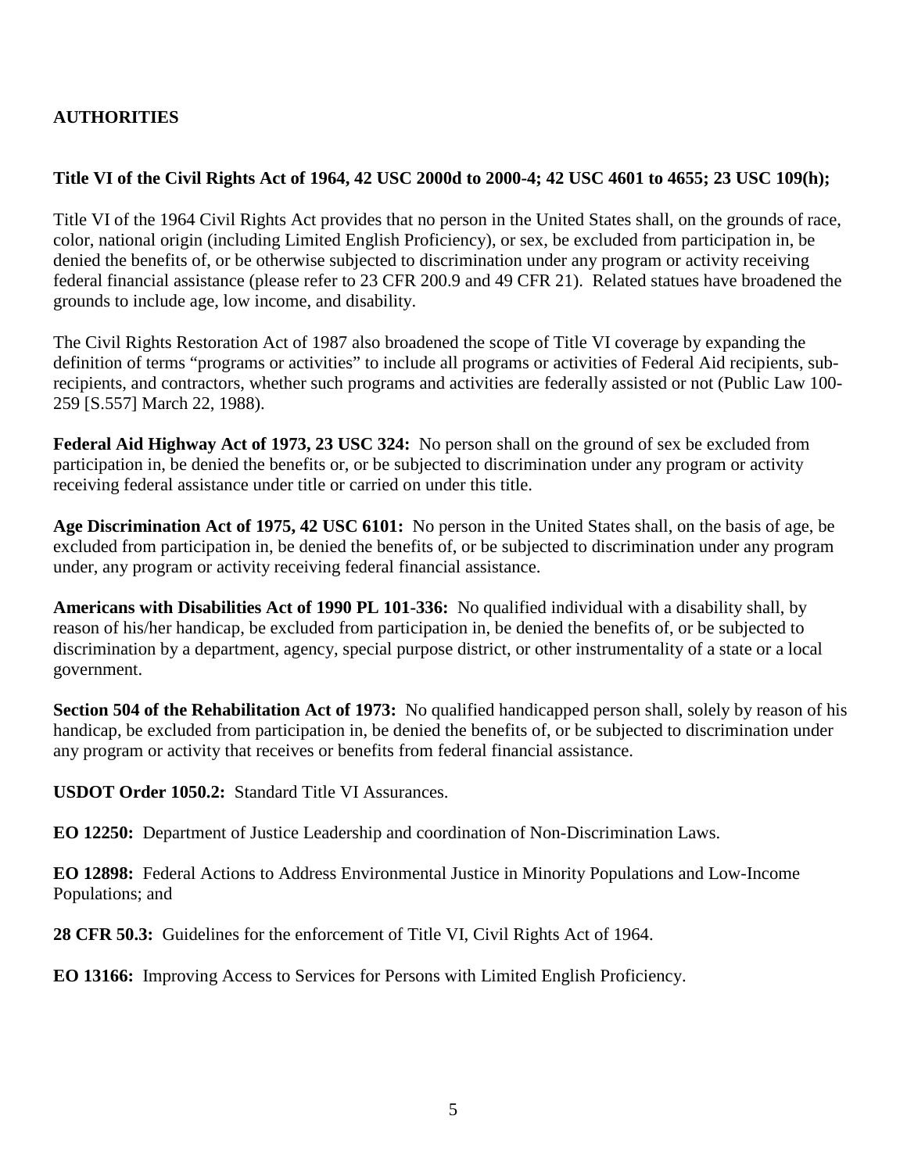# **AUTHORITIES**

# **Title VI of the Civil Rights Act of 1964, 42 USC 2000d to 2000-4; 42 USC 4601 to 4655; 23 USC 109(h);**

Title VI of the 1964 Civil Rights Act provides that no person in the United States shall, on the grounds of race, color, national origin (including Limited English Proficiency), or sex, be excluded from participation in, be denied the benefits of, or be otherwise subjected to discrimination under any program or activity receiving federal financial assistance (please refer to 23 CFR 200.9 and 49 CFR 21). Related statues have broadened the grounds to include age, low income, and disability.

The Civil Rights Restoration Act of 1987 also broadened the scope of Title VI coverage by expanding the definition of terms "programs or activities" to include all programs or activities of Federal Aid recipients, subrecipients, and contractors, whether such programs and activities are federally assisted or not (Public Law 100- 259 [S.557] March 22, 1988).

**Federal Aid Highway Act of 1973, 23 USC 324:** No person shall on the ground of sex be excluded from participation in, be denied the benefits or, or be subjected to discrimination under any program or activity receiving federal assistance under title or carried on under this title.

**Age Discrimination Act of 1975, 42 USC 6101:** No person in the United States shall, on the basis of age, be excluded from participation in, be denied the benefits of, or be subjected to discrimination under any program under, any program or activity receiving federal financial assistance.

**Americans with Disabilities Act of 1990 PL 101-336:** No qualified individual with a disability shall, by reason of his/her handicap, be excluded from participation in, be denied the benefits of, or be subjected to discrimination by a department, agency, special purpose district, or other instrumentality of a state or a local government.

**Section 504 of the Rehabilitation Act of 1973:** No qualified handicapped person shall, solely by reason of his handicap, be excluded from participation in, be denied the benefits of, or be subjected to discrimination under any program or activity that receives or benefits from federal financial assistance.

**USDOT Order 1050.2:** Standard Title VI Assurances.

**EO 12250:** Department of Justice Leadership and coordination of Non-Discrimination Laws.

**EO 12898:** Federal Actions to Address Environmental Justice in Minority Populations and Low-Income Populations; and

**28 CFR 50.3:** Guidelines for the enforcement of Title VI, Civil Rights Act of 1964.

**EO 13166:** Improving Access to Services for Persons with Limited English Proficiency.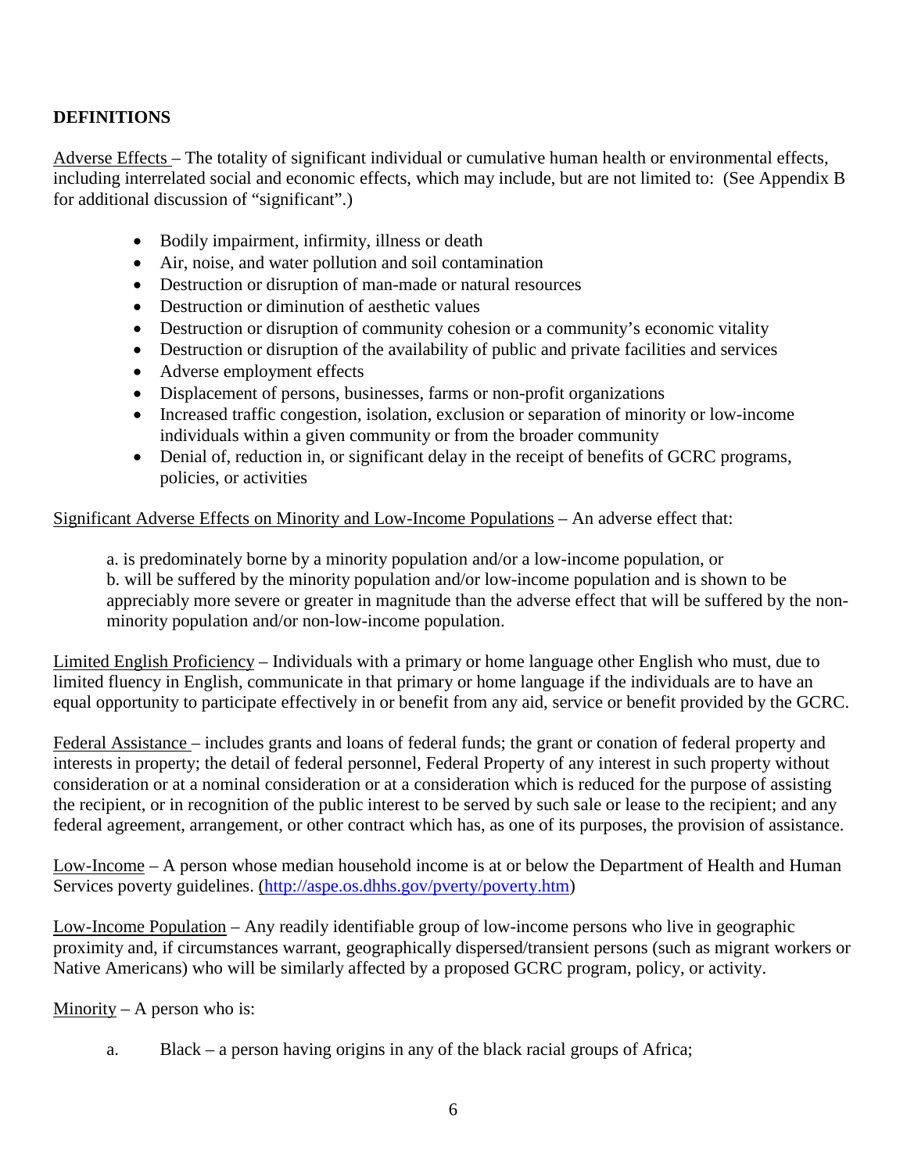# **DEFINITIONS**

Adverse Effects – The totality of significant individual or cumulative human health or environmental effects, including interrelated social and economic effects, which may include, but are not limited to: (See Appendix B for additional discussion of "significant".)

- Bodily impairment, infirmity, illness or death
- Air, noise, and water pollution and soil contamination
- Destruction or disruption of man-made or natural resources
- Destruction or diminution of aesthetic values
- Destruction or disruption of community cohesion or a community's economic vitality
- Destruction or disruption of the availability of public and private facilities and services
- Adverse employment effects
- Displacement of persons, businesses, farms or non-profit organizations
- Increased traffic congestion, isolation, exclusion or separation of minority or low-income individuals within a given community or from the broader community
- Denial of, reduction in, or significant delay in the receipt of benefits of GCRC programs, policies, or activities

### Significant Adverse Effects on Minority and Low-Income Populations – An adverse effect that:

a. is predominately borne by a minority population and/or a low-income population, or b. will be suffered by the minority population and/or low-income population and is shown to be appreciably more severe or greater in magnitude than the adverse effect that will be suffered by the nonminority population and/or non-low-income population.

Limited English Proficiency – Individuals with a primary or home language other English who must, due to limited fluency in English, communicate in that primary or home language if the individuals are to have an equal opportunity to participate effectively in or benefit from any aid, service or benefit provided by the GCRC.

Federal Assistance – includes grants and loans of federal funds; the grant or conation of federal property and interests in property; the detail of federal personnel, Federal Property of any interest in such property without consideration or at a nominal consideration or at a consideration which is reduced for the purpose of assisting the recipient, or in recognition of the public interest to be served by such sale or lease to the recipient; and any federal agreement, arrangement, or other contract which has, as one of its purposes, the provision of assistance.

Low-Income – A person whose median household income is at or below the Department of Health and Human Services poverty guidelines. [\(http://aspe.os.dhhs.gov/pverty/poverty.htm\)](http://aspe.os.dhhs.gov/pverty/poverty.htm)

Low-Income Population – Any readily identifiable group of low-income persons who live in geographic proximity and, if circumstances warrant, geographically dispersed/transient persons (such as migrant workers or Native Americans) who will be similarly affected by a proposed GCRC program, policy, or activity.

Minority – A person who is:

a. Black – a person having origins in any of the black racial groups of Africa;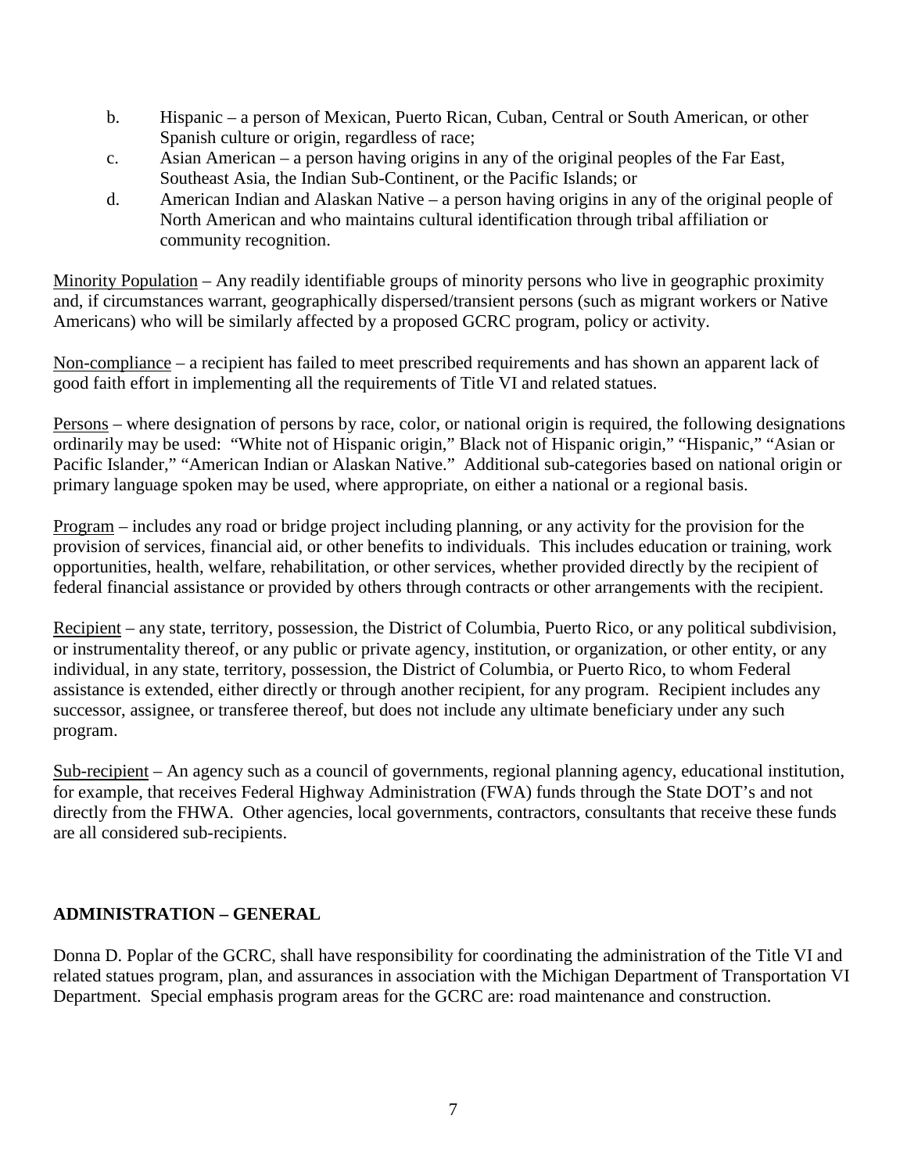- b. Hispanic a person of Mexican, Puerto Rican, Cuban, Central or South American, or other Spanish culture or origin, regardless of race;
- c. Asian American a person having origins in any of the original peoples of the Far East, Southeast Asia, the Indian Sub-Continent, or the Pacific Islands; or
- d. American Indian and Alaskan Native a person having origins in any of the original people of North American and who maintains cultural identification through tribal affiliation or community recognition.

Minority Population – Any readily identifiable groups of minority persons who live in geographic proximity and, if circumstances warrant, geographically dispersed/transient persons (such as migrant workers or Native Americans) who will be similarly affected by a proposed GCRC program, policy or activity.

Non-compliance – a recipient has failed to meet prescribed requirements and has shown an apparent lack of good faith effort in implementing all the requirements of Title VI and related statues.

Persons – where designation of persons by race, color, or national origin is required, the following designations ordinarily may be used: "White not of Hispanic origin," Black not of Hispanic origin," "Hispanic," "Asian or Pacific Islander," "American Indian or Alaskan Native." Additional sub-categories based on national origin or primary language spoken may be used, where appropriate, on either a national or a regional basis.

Program – includes any road or bridge project including planning, or any activity for the provision for the provision of services, financial aid, or other benefits to individuals. This includes education or training, work opportunities, health, welfare, rehabilitation, or other services, whether provided directly by the recipient of federal financial assistance or provided by others through contracts or other arrangements with the recipient.

Recipient – any state, territory, possession, the District of Columbia, Puerto Rico, or any political subdivision, or instrumentality thereof, or any public or private agency, institution, or organization, or other entity, or any individual, in any state, territory, possession, the District of Columbia, or Puerto Rico, to whom Federal assistance is extended, either directly or through another recipient, for any program. Recipient includes any successor, assignee, or transferee thereof, but does not include any ultimate beneficiary under any such program.

Sub-recipient – An agency such as a council of governments, regional planning agency, educational institution, for example, that receives Federal Highway Administration (FWA) funds through the State DOT's and not directly from the FHWA. Other agencies, local governments, contractors, consultants that receive these funds are all considered sub-recipients.

### **ADMINISTRATION – GENERAL**

Donna D. Poplar of the GCRC, shall have responsibility for coordinating the administration of the Title VI and related statues program, plan, and assurances in association with the Michigan Department of Transportation VI Department. Special emphasis program areas for the GCRC are: road maintenance and construction.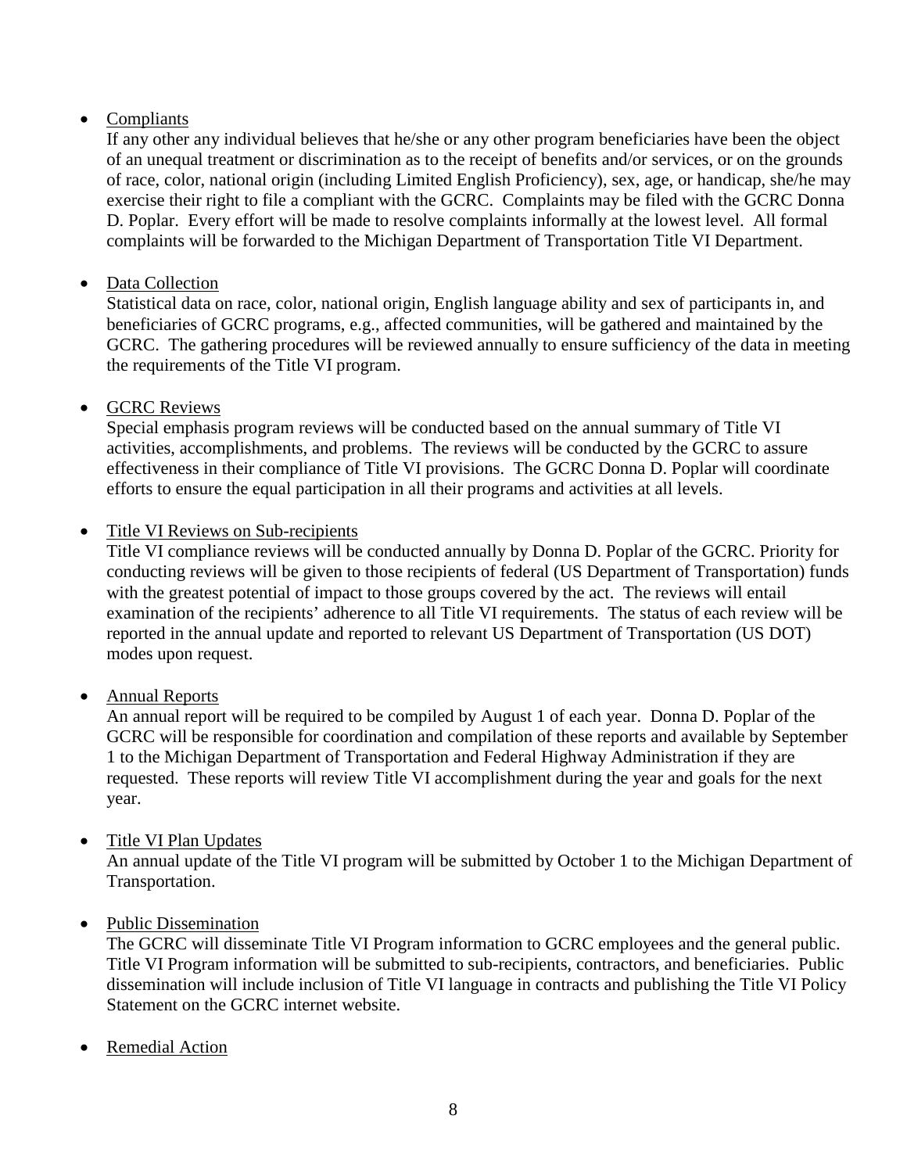# • Compliants

If any other any individual believes that he/she or any other program beneficiaries have been the object of an unequal treatment or discrimination as to the receipt of benefits and/or services, or on the grounds of race, color, national origin (including Limited English Proficiency), sex, age, or handicap, she/he may exercise their right to file a compliant with the GCRC. Complaints may be filed with the GCRC Donna D. Poplar. Every effort will be made to resolve complaints informally at the lowest level. All formal complaints will be forwarded to the Michigan Department of Transportation Title VI Department.

# • Data Collection

Statistical data on race, color, national origin, English language ability and sex of participants in, and beneficiaries of GCRC programs, e.g., affected communities, will be gathered and maintained by the GCRC. The gathering procedures will be reviewed annually to ensure sufficiency of the data in meeting the requirements of the Title VI program.

# • GCRC Reviews

Special emphasis program reviews will be conducted based on the annual summary of Title VI activities, accomplishments, and problems. The reviews will be conducted by the GCRC to assure effectiveness in their compliance of Title VI provisions. The GCRC Donna D. Poplar will coordinate efforts to ensure the equal participation in all their programs and activities at all levels.

# • Title VI Reviews on Sub-recipients

Title VI compliance reviews will be conducted annually by Donna D. Poplar of the GCRC. Priority for conducting reviews will be given to those recipients of federal (US Department of Transportation) funds with the greatest potential of impact to those groups covered by the act. The reviews will entail examination of the recipients' adherence to all Title VI requirements. The status of each review will be reported in the annual update and reported to relevant US Department of Transportation (US DOT) modes upon request.

# • Annual Reports

An annual report will be required to be compiled by August 1 of each year. Donna D. Poplar of the GCRC will be responsible for coordination and compilation of these reports and available by September 1 to the Michigan Department of Transportation and Federal Highway Administration if they are requested. These reports will review Title VI accomplishment during the year and goals for the next year.

### • Title VI Plan Updates

An annual update of the Title VI program will be submitted by October 1 to the Michigan Department of Transportation.

### • Public Dissemination

The GCRC will disseminate Title VI Program information to GCRC employees and the general public. Title VI Program information will be submitted to sub-recipients, contractors, and beneficiaries. Public dissemination will include inclusion of Title VI language in contracts and publishing the Title VI Policy Statement on the GCRC internet website.

• Remedial Action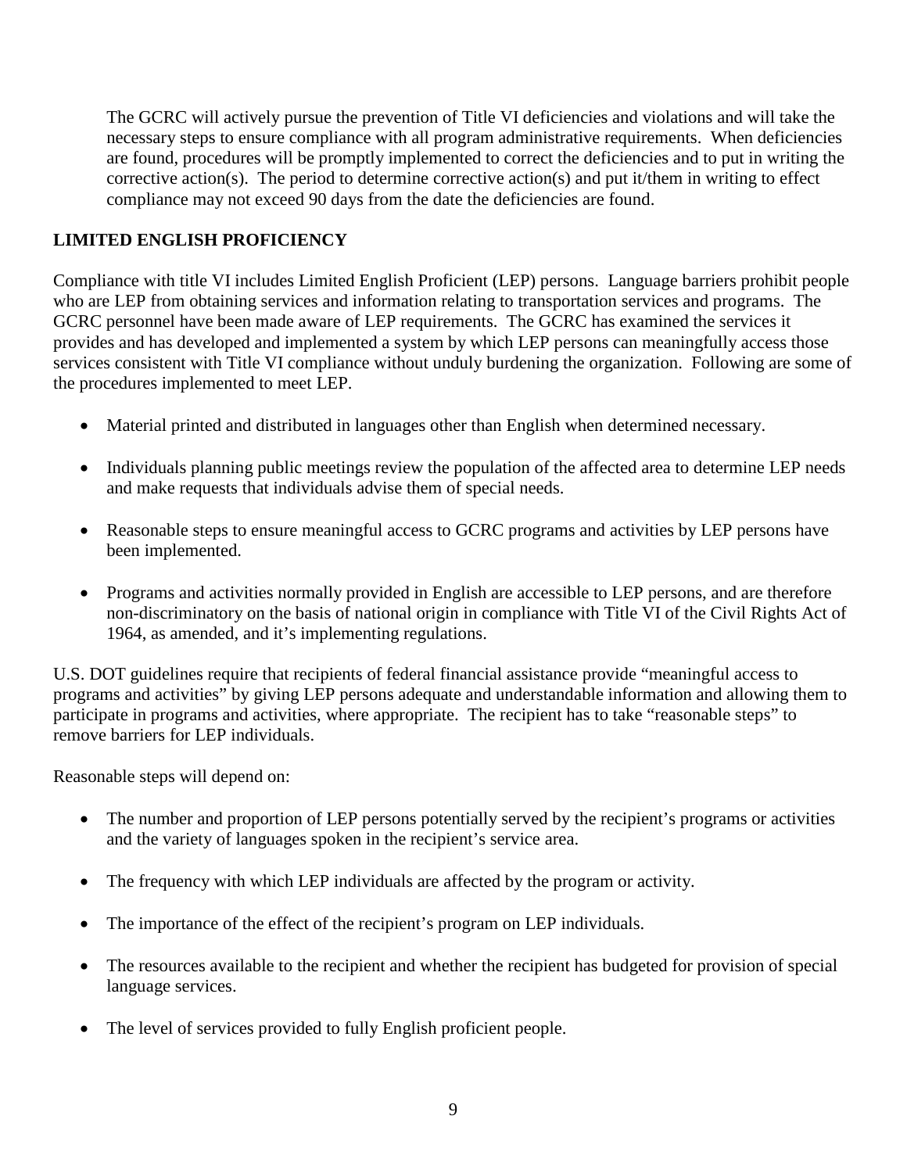The GCRC will actively pursue the prevention of Title VI deficiencies and violations and will take the necessary steps to ensure compliance with all program administrative requirements. When deficiencies are found, procedures will be promptly implemented to correct the deficiencies and to put in writing the corrective action(s). The period to determine corrective action(s) and put it/them in writing to effect compliance may not exceed 90 days from the date the deficiencies are found.

# **LIMITED ENGLISH PROFICIENCY**

Compliance with title VI includes Limited English Proficient (LEP) persons. Language barriers prohibit people who are LEP from obtaining services and information relating to transportation services and programs. The GCRC personnel have been made aware of LEP requirements. The GCRC has examined the services it provides and has developed and implemented a system by which LEP persons can meaningfully access those services consistent with Title VI compliance without unduly burdening the organization. Following are some of the procedures implemented to meet LEP.

- Material printed and distributed in languages other than English when determined necessary.
- Individuals planning public meetings review the population of the affected area to determine LEP needs and make requests that individuals advise them of special needs.
- Reasonable steps to ensure meaningful access to GCRC programs and activities by LEP persons have been implemented.
- Programs and activities normally provided in English are accessible to LEP persons, and are therefore non-discriminatory on the basis of national origin in compliance with Title VI of the Civil Rights Act of 1964, as amended, and it's implementing regulations.

U.S. DOT guidelines require that recipients of federal financial assistance provide "meaningful access to programs and activities" by giving LEP persons adequate and understandable information and allowing them to participate in programs and activities, where appropriate. The recipient has to take "reasonable steps" to remove barriers for LEP individuals.

Reasonable steps will depend on:

- The number and proportion of LEP persons potentially served by the recipient's programs or activities and the variety of languages spoken in the recipient's service area.
- The frequency with which LEP individuals are affected by the program or activity.
- The importance of the effect of the recipient's program on LEP individuals.
- The resources available to the recipient and whether the recipient has budgeted for provision of special language services.
- The level of services provided to fully English proficient people.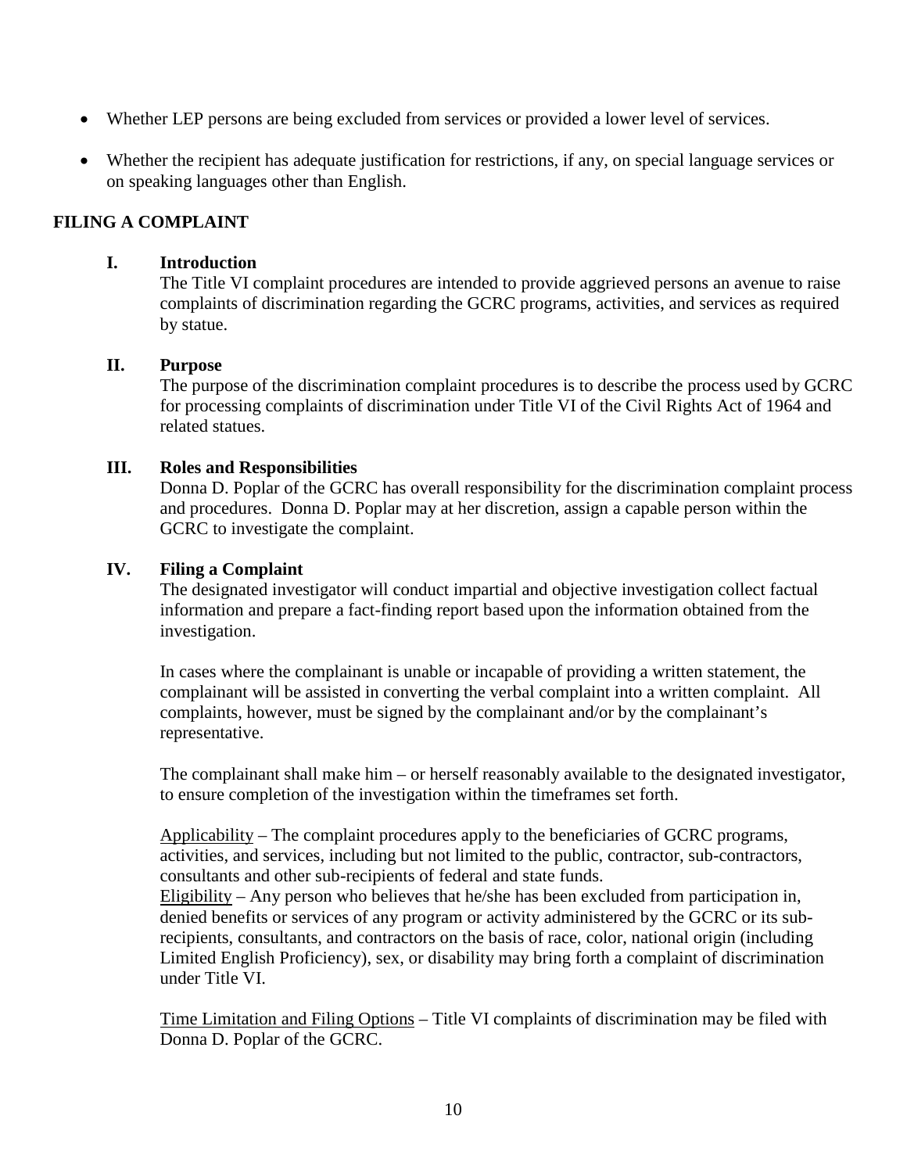- Whether LEP persons are being excluded from services or provided a lower level of services.
- Whether the recipient has adequate justification for restrictions, if any, on special language services or on speaking languages other than English.

#### **FILING A COMPLAINT**

#### **I. Introduction**

The Title VI complaint procedures are intended to provide aggrieved persons an avenue to raise complaints of discrimination regarding the GCRC programs, activities, and services as required by statue.

#### **II. Purpose**

The purpose of the discrimination complaint procedures is to describe the process used by GCRC for processing complaints of discrimination under Title VI of the Civil Rights Act of 1964 and related statues.

#### **III. Roles and Responsibilities**

Donna D. Poplar of the GCRC has overall responsibility for the discrimination complaint process and procedures. Donna D. Poplar may at her discretion, assign a capable person within the GCRC to investigate the complaint.

#### **IV. Filing a Complaint**

The designated investigator will conduct impartial and objective investigation collect factual information and prepare a fact-finding report based upon the information obtained from the investigation.

In cases where the complainant is unable or incapable of providing a written statement, the complainant will be assisted in converting the verbal complaint into a written complaint. All complaints, however, must be signed by the complainant and/or by the complainant's representative.

The complainant shall make him – or herself reasonably available to the designated investigator, to ensure completion of the investigation within the timeframes set forth.

Applicability – The complaint procedures apply to the beneficiaries of GCRC programs, activities, and services, including but not limited to the public, contractor, sub-contractors, consultants and other sub-recipients of federal and state funds.

Eligibility – Any person who believes that he/she has been excluded from participation in, denied benefits or services of any program or activity administered by the GCRC or its subrecipients, consultants, and contractors on the basis of race, color, national origin (including Limited English Proficiency), sex, or disability may bring forth a complaint of discrimination under Title VI.

Time Limitation and Filing Options – Title VI complaints of discrimination may be filed with Donna D. Poplar of the GCRC.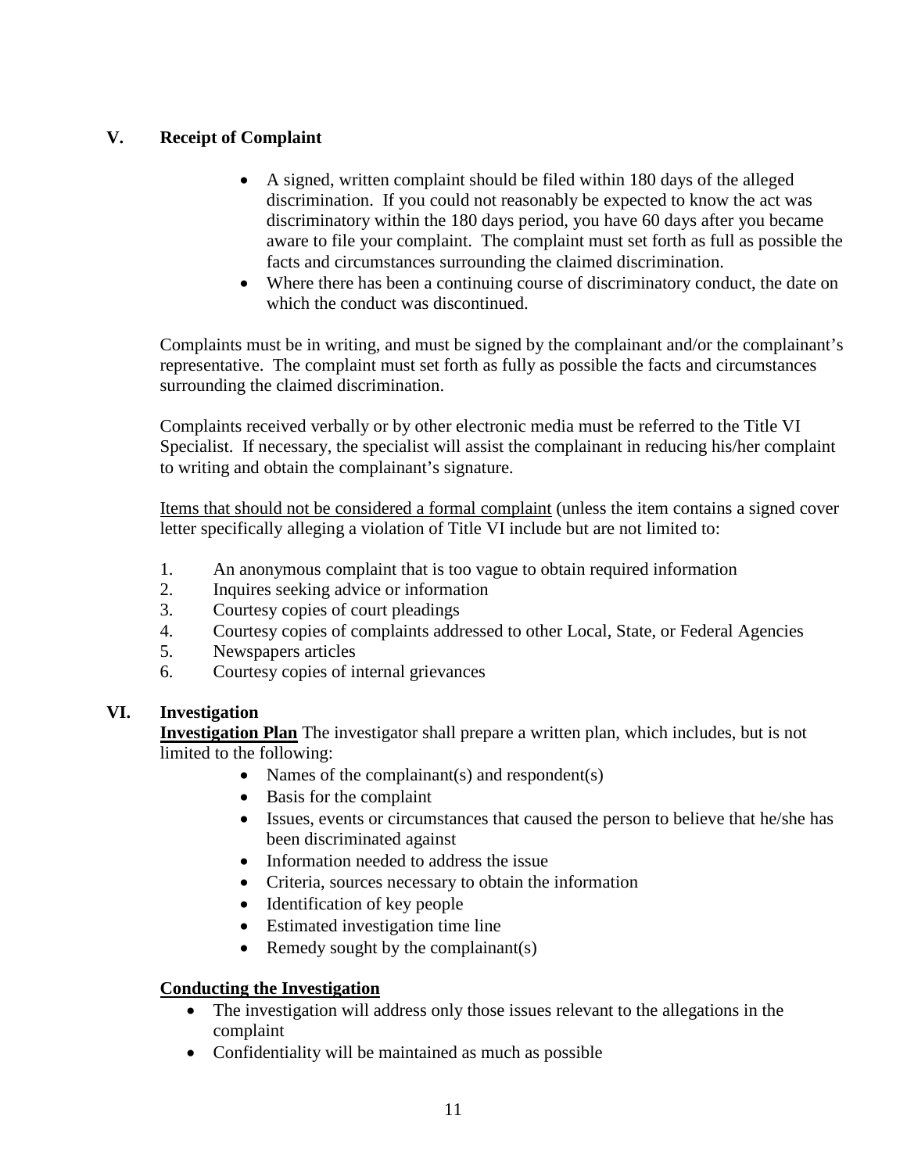# **V. Receipt of Complaint**

- A signed, written complaint should be filed within 180 days of the alleged discrimination. If you could not reasonably be expected to know the act was discriminatory within the 180 days period, you have 60 days after you became aware to file your complaint. The complaint must set forth as full as possible the facts and circumstances surrounding the claimed discrimination.
- Where there has been a continuing course of discriminatory conduct, the date on which the conduct was discontinued.

Complaints must be in writing, and must be signed by the complainant and/or the complainant's representative. The complaint must set forth as fully as possible the facts and circumstances surrounding the claimed discrimination.

Complaints received verbally or by other electronic media must be referred to the Title VI Specialist. If necessary, the specialist will assist the complainant in reducing his/her complaint to writing and obtain the complainant's signature.

Items that should not be considered a formal complaint (unless the item contains a signed cover letter specifically alleging a violation of Title VI include but are not limited to:

- 1. An anonymous complaint that is too vague to obtain required information
- 2. Inquires seeking advice or information
- 3. Courtesy copies of court pleadings
- 4. Courtesy copies of complaints addressed to other Local, State, or Federal Agencies
- 5. Newspapers articles
- 6. Courtesy copies of internal grievances

### **VI. Investigation**

**Investigation Plan** The investigator shall prepare a written plan, which includes, but is not limited to the following:

- Names of the complainant(s) and respondent(s)
	- Basis for the complaint
	- Issues, events or circumstances that caused the person to believe that he/she has been discriminated against
	- Information needed to address the issue
	- Criteria, sources necessary to obtain the information
	- Identification of key people
	- Estimated investigation time line
	- Remedy sought by the complainant(s)

# **Conducting the Investigation**

- The investigation will address only those issues relevant to the allegations in the complaint
- Confidentiality will be maintained as much as possible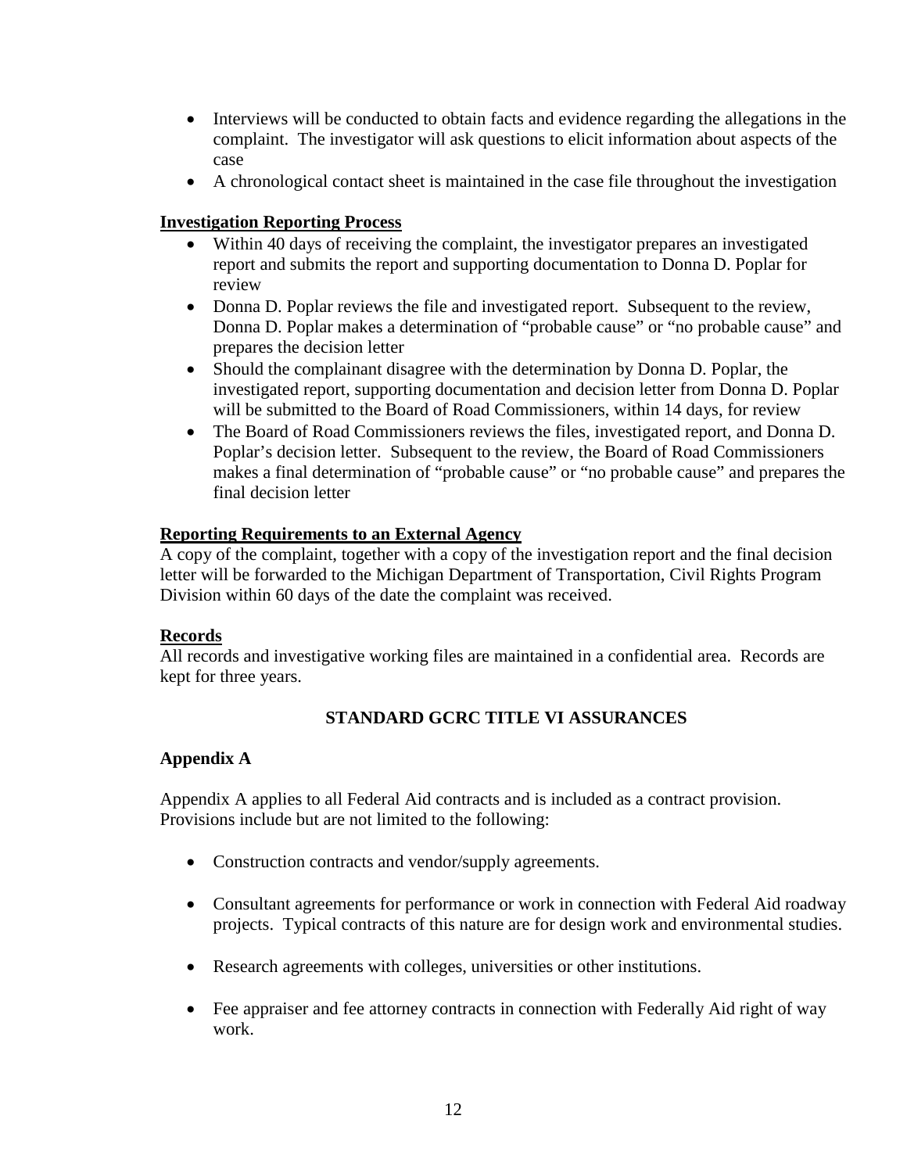- Interviews will be conducted to obtain facts and evidence regarding the allegations in the complaint. The investigator will ask questions to elicit information about aspects of the case
- A chronological contact sheet is maintained in the case file throughout the investigation

# **Investigation Reporting Process**

- Within 40 days of receiving the complaint, the investigator prepares an investigated report and submits the report and supporting documentation to Donna D. Poplar for review
- Donna D. Poplar reviews the file and investigated report. Subsequent to the review, Donna D. Poplar makes a determination of "probable cause" or "no probable cause" and prepares the decision letter
- Should the complainant disagree with the determination by Donna D. Poplar, the investigated report, supporting documentation and decision letter from Donna D. Poplar will be submitted to the Board of Road Commissioners, within 14 days, for review
- The Board of Road Commissioners reviews the files, investigated report, and Donna D. Poplar's decision letter. Subsequent to the review, the Board of Road Commissioners makes a final determination of "probable cause" or "no probable cause" and prepares the final decision letter

# **Reporting Requirements to an External Agency**

A copy of the complaint, together with a copy of the investigation report and the final decision letter will be forwarded to the Michigan Department of Transportation, Civil Rights Program Division within 60 days of the date the complaint was received.

### **Records**

All records and investigative working files are maintained in a confidential area. Records are kept for three years.

# **STANDARD GCRC TITLE VI ASSURANCES**

# **Appendix A**

Appendix A applies to all Federal Aid contracts and is included as a contract provision. Provisions include but are not limited to the following:

- Construction contracts and vendor/supply agreements.
- Consultant agreements for performance or work in connection with Federal Aid roadway projects. Typical contracts of this nature are for design work and environmental studies.
- Research agreements with colleges, universities or other institutions.
- Fee appraiser and fee attorney contracts in connection with Federally Aid right of way work.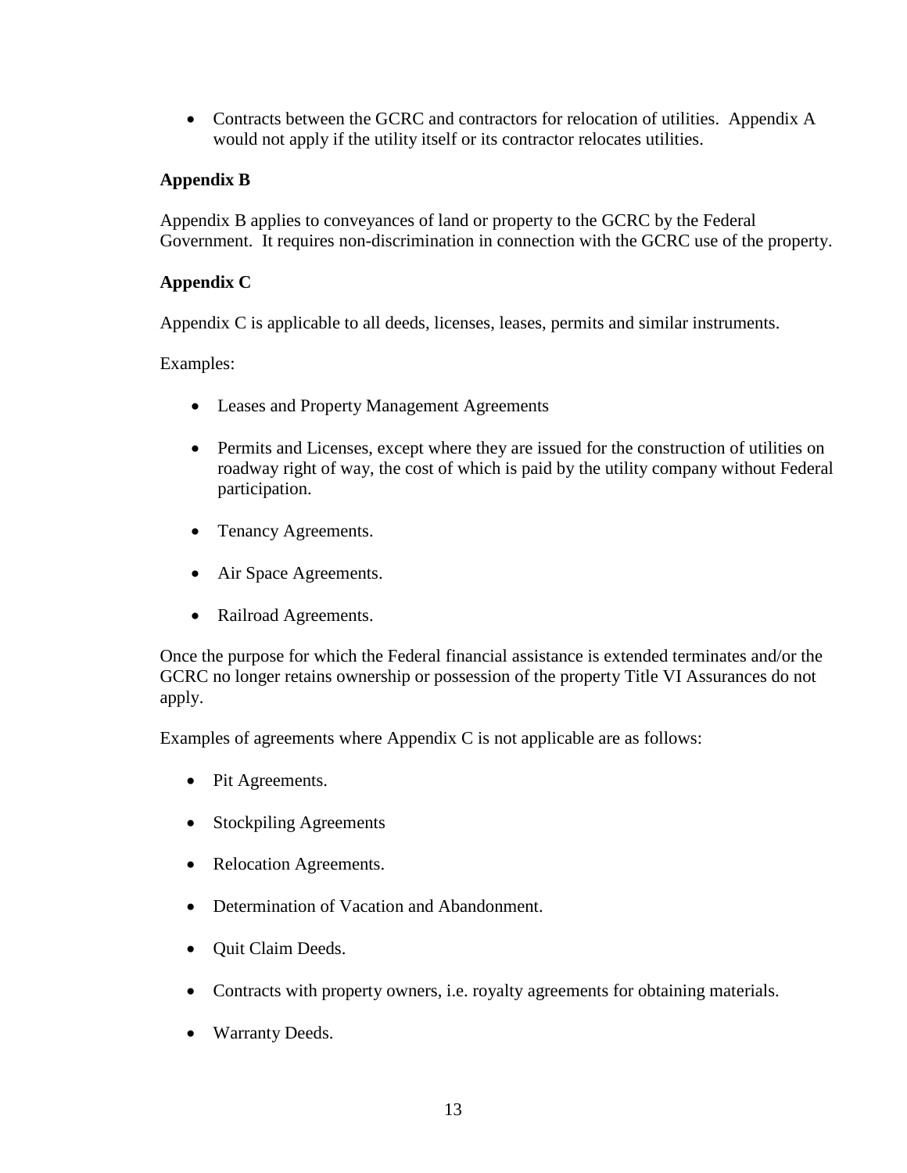• Contracts between the GCRC and contractors for relocation of utilities. Appendix A would not apply if the utility itself or its contractor relocates utilities.

# **Appendix B**

Appendix B applies to conveyances of land or property to the GCRC by the Federal Government. It requires non-discrimination in connection with the GCRC use of the property.

### **Appendix C**

Appendix C is applicable to all deeds, licenses, leases, permits and similar instruments.

Examples:

- Leases and Property Management Agreements
- Permits and Licenses, except where they are issued for the construction of utilities on roadway right of way, the cost of which is paid by the utility company without Federal participation.
- Tenancy Agreements.
- Air Space Agreements.
- Railroad Agreements.

Once the purpose for which the Federal financial assistance is extended terminates and/or the GCRC no longer retains ownership or possession of the property Title VI Assurances do not apply.

Examples of agreements where Appendix C is not applicable are as follows:

- Pit Agreements.
- Stockpiling Agreements
- Relocation Agreements.
- Determination of Vacation and Abandonment.
- Quit Claim Deeds.
- Contracts with property owners, i.e. royalty agreements for obtaining materials.
- Warranty Deeds.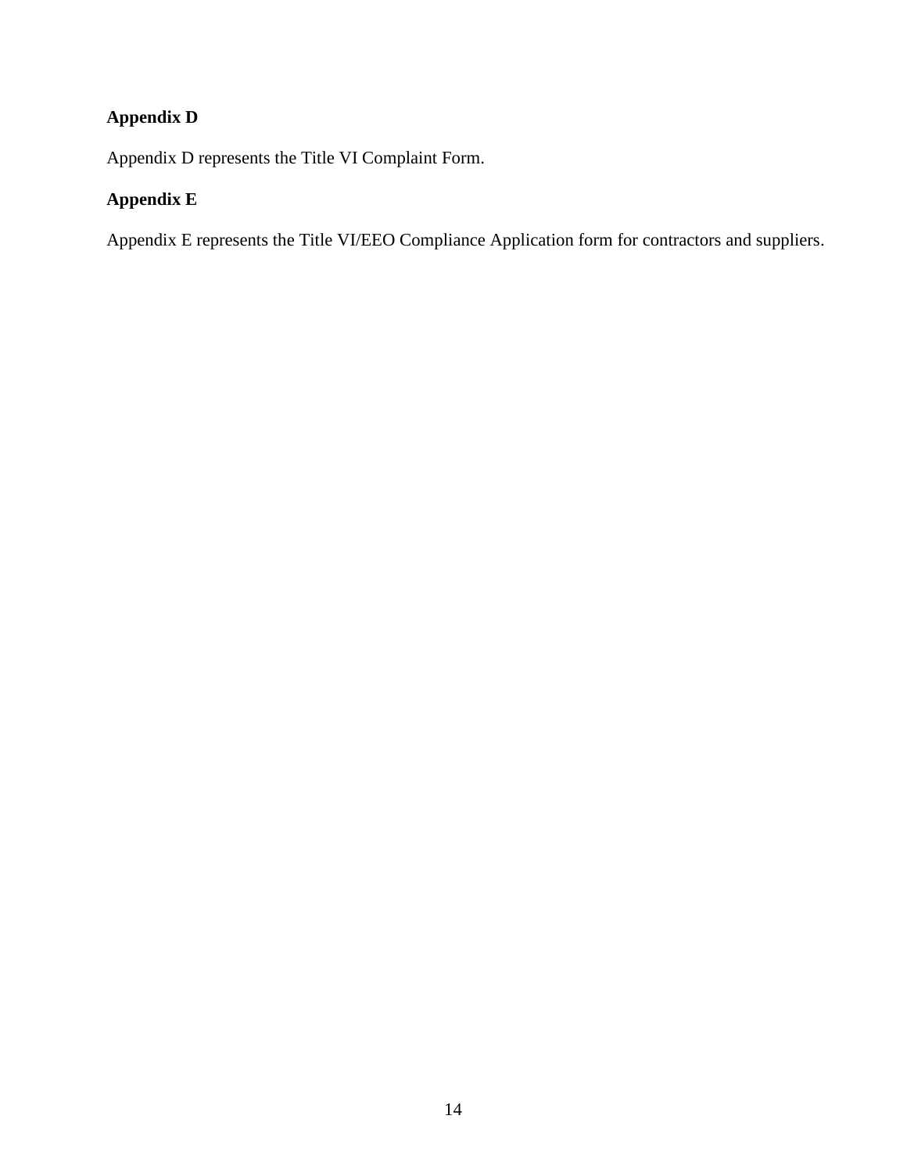# **Appendix D**

Appendix D represents the Title VI Complaint Form.

# **Appendix E**

Appendix E represents the Title VI/EEO Compliance Application form for contractors and suppliers.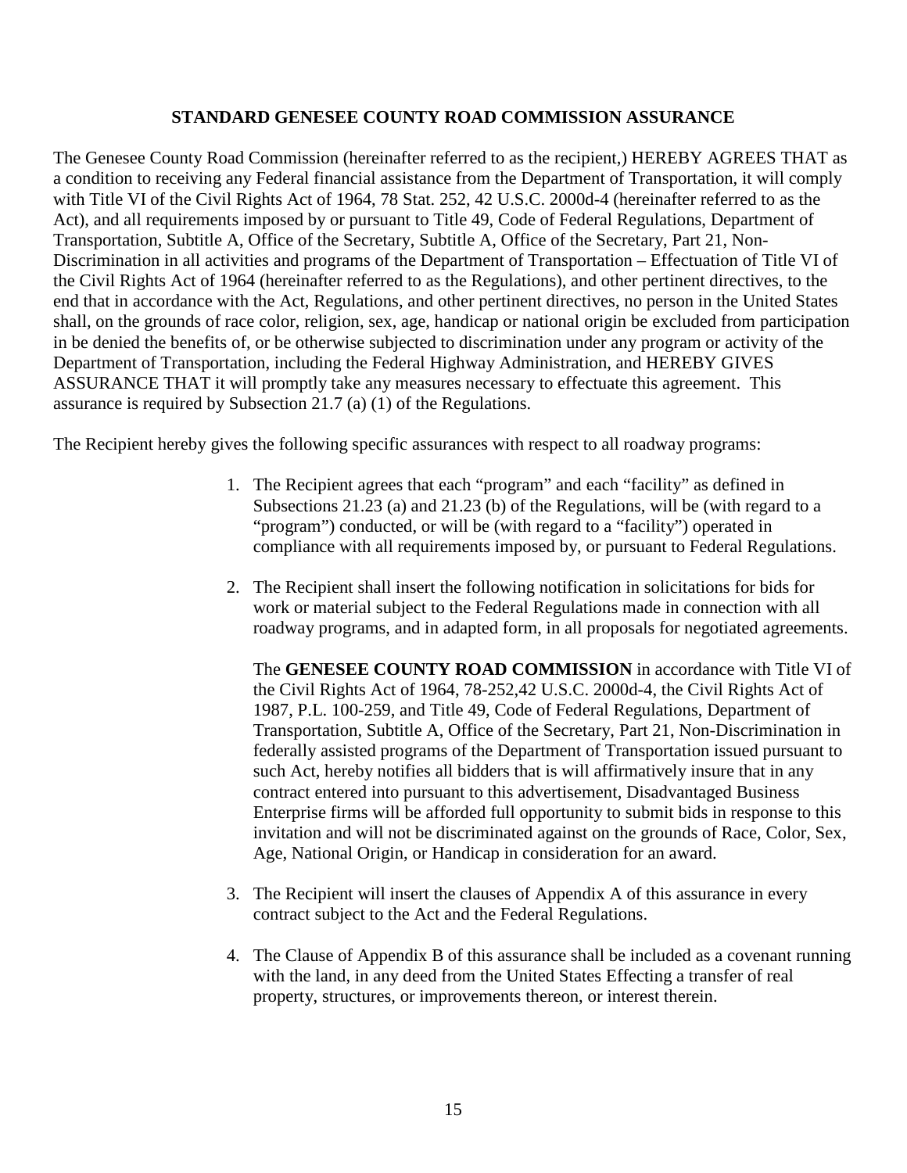#### **STANDARD GENESEE COUNTY ROAD COMMISSION ASSURANCE**

The Genesee County Road Commission (hereinafter referred to as the recipient,) HEREBY AGREES THAT as a condition to receiving any Federal financial assistance from the Department of Transportation, it will comply with Title VI of the Civil Rights Act of 1964, 78 Stat. 252, 42 U.S.C. 2000d-4 (hereinafter referred to as the Act), and all requirements imposed by or pursuant to Title 49, Code of Federal Regulations, Department of Transportation, Subtitle A, Office of the Secretary, Subtitle A, Office of the Secretary, Part 21, Non-Discrimination in all activities and programs of the Department of Transportation – Effectuation of Title VI of the Civil Rights Act of 1964 (hereinafter referred to as the Regulations), and other pertinent directives, to the end that in accordance with the Act, Regulations, and other pertinent directives, no person in the United States shall, on the grounds of race color, religion, sex, age, handicap or national origin be excluded from participation in be denied the benefits of, or be otherwise subjected to discrimination under any program or activity of the Department of Transportation, including the Federal Highway Administration, and HEREBY GIVES ASSURANCE THAT it will promptly take any measures necessary to effectuate this agreement. This assurance is required by Subsection 21.7 (a) (1) of the Regulations.

The Recipient hereby gives the following specific assurances with respect to all roadway programs:

- 1. The Recipient agrees that each "program" and each "facility" as defined in Subsections 21.23 (a) and 21.23 (b) of the Regulations, will be (with regard to a "program") conducted, or will be (with regard to a "facility") operated in compliance with all requirements imposed by, or pursuant to Federal Regulations.
- 2. The Recipient shall insert the following notification in solicitations for bids for work or material subject to the Federal Regulations made in connection with all roadway programs, and in adapted form, in all proposals for negotiated agreements.

The **GENESEE COUNTY ROAD COMMISSION** in accordance with Title VI of the Civil Rights Act of 1964, 78-252,42 U.S.C. 2000d-4, the Civil Rights Act of 1987, P.L. 100-259, and Title 49, Code of Federal Regulations, Department of Transportation, Subtitle A, Office of the Secretary, Part 21, Non-Discrimination in federally assisted programs of the Department of Transportation issued pursuant to such Act, hereby notifies all bidders that is will affirmatively insure that in any contract entered into pursuant to this advertisement, Disadvantaged Business Enterprise firms will be afforded full opportunity to submit bids in response to this invitation and will not be discriminated against on the grounds of Race, Color, Sex, Age, National Origin, or Handicap in consideration for an award.

- 3. The Recipient will insert the clauses of Appendix A of this assurance in every contract subject to the Act and the Federal Regulations.
- 4. The Clause of Appendix B of this assurance shall be included as a covenant running with the land, in any deed from the United States Effecting a transfer of real property, structures, or improvements thereon, or interest therein.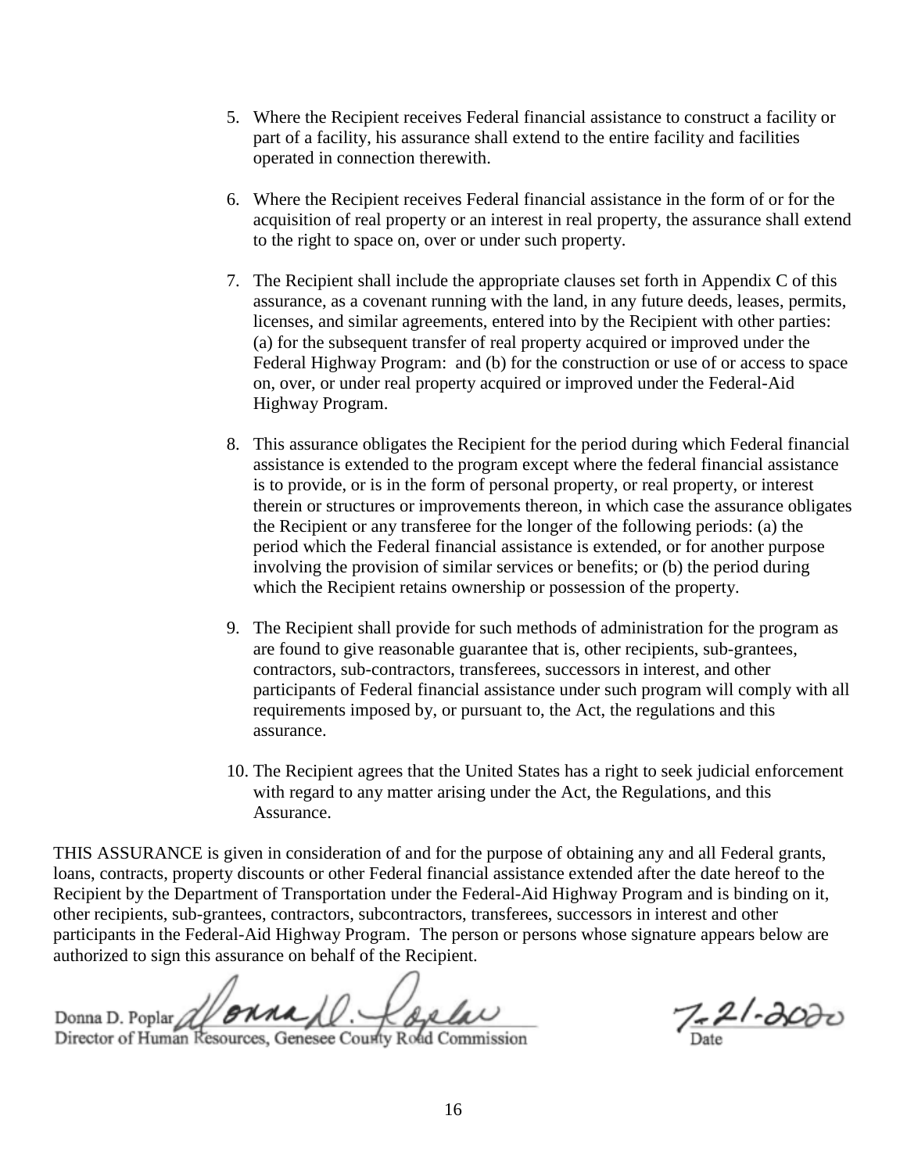- 5. Where the Recipient receives Federal financial assistance to construct a facility or part of a facility, his assurance shall extend to the entire facility and facilities operated in connection therewith.
- 6. Where the Recipient receives Federal financial assistance in the form of or for the acquisition of real property or an interest in real property, the assurance shall extend to the right to space on, over or under such property.
- 7. The Recipient shall include the appropriate clauses set forth in Appendix C of this assurance, as a covenant running with the land, in any future deeds, leases, permits, licenses, and similar agreements, entered into by the Recipient with other parties: (a) for the subsequent transfer of real property acquired or improved under the Federal Highway Program: and (b) for the construction or use of or access to space on, over, or under real property acquired or improved under the Federal-Aid Highway Program.
- 8. This assurance obligates the Recipient for the period during which Federal financial assistance is extended to the program except where the federal financial assistance is to provide, or is in the form of personal property, or real property, or interest therein or structures or improvements thereon, in which case the assurance obligates the Recipient or any transferee for the longer of the following periods: (a) the period which the Federal financial assistance is extended, or for another purpose involving the provision of similar services or benefits; or (b) the period during which the Recipient retains ownership or possession of the property.
- 9. The Recipient shall provide for such methods of administration for the program as are found to give reasonable guarantee that is, other recipients, sub-grantees, contractors, sub-contractors, transferees, successors in interest, and other participants of Federal financial assistance under such program will comply with all requirements imposed by, or pursuant to, the Act, the regulations and this assurance.
- 10. The Recipient agrees that the United States has a right to seek judicial enforcement with regard to any matter arising under the Act, the Regulations, and this Assurance.

THIS ASSURANCE is given in consideration of and for the purpose of obtaining any and all Federal grants, loans, contracts, property discounts or other Federal financial assistance extended after the date hereof to the Recipient by the Department of Transportation under the Federal-Aid Highway Program and is binding on it, other recipients, sub-grantees, contractors, subcontractors, transferees, successors in interest and other participants in the Federal-Aid Highway Program. The person or persons whose signature appears below are authorized to sign this assurance on behalf of the Recipient.

Donna D. Poplar Al **BRRAN**. Lac de la Universita de 1-3000 Domia D. Fopial Director of Human Resources, Genesee County Road Commission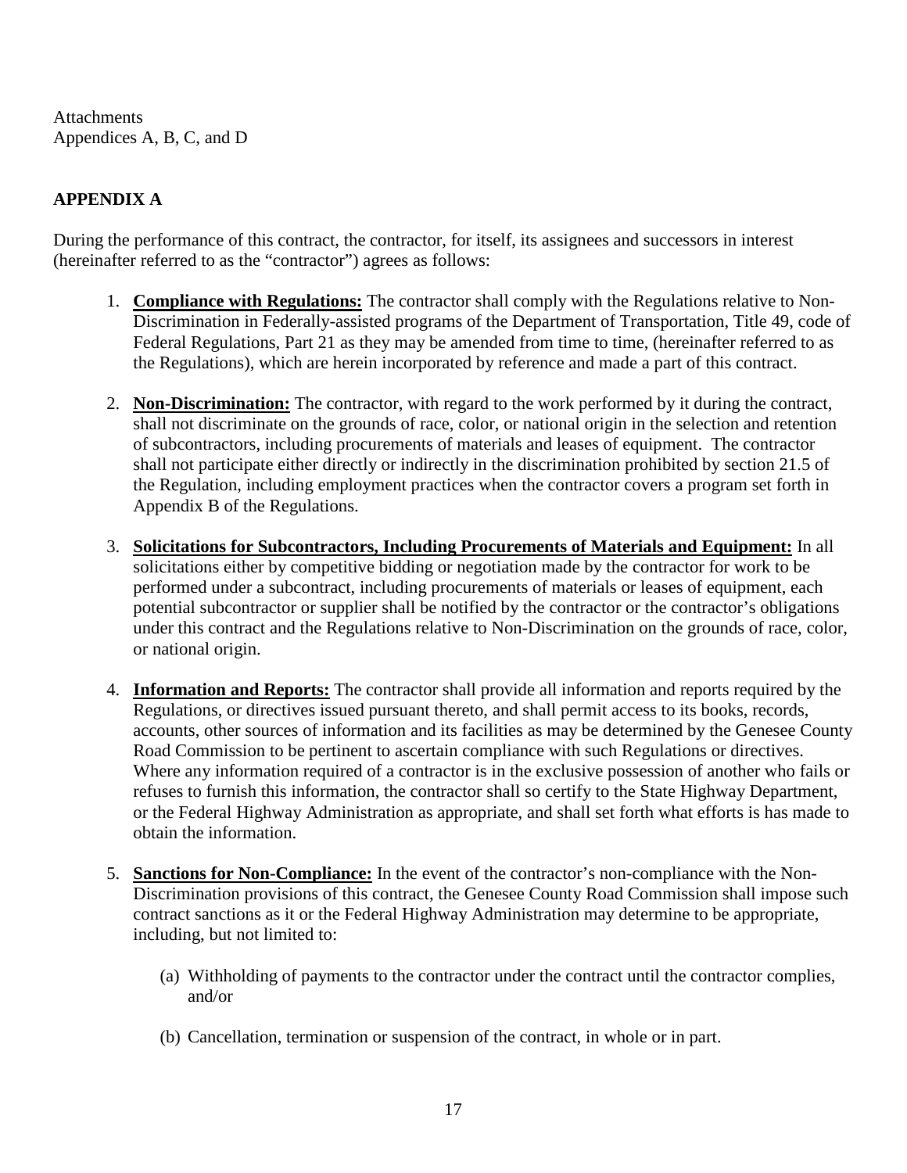**Attachments** Appendices A, B, C, and D

# **APPENDIX A**

During the performance of this contract, the contractor, for itself, its assignees and successors in interest (hereinafter referred to as the "contractor") agrees as follows:

- 1. **Compliance with Regulations:** The contractor shall comply with the Regulations relative to Non-Discrimination in Federally-assisted programs of the Department of Transportation, Title 49, code of Federal Regulations, Part 21 as they may be amended from time to time, (hereinafter referred to as the Regulations), which are herein incorporated by reference and made a part of this contract.
- 2. **Non-Discrimination:** The contractor, with regard to the work performed by it during the contract, shall not discriminate on the grounds of race, color, or national origin in the selection and retention of subcontractors, including procurements of materials and leases of equipment. The contractor shall not participate either directly or indirectly in the discrimination prohibited by section 21.5 of the Regulation, including employment practices when the contractor covers a program set forth in Appendix B of the Regulations.
- 3. **Solicitations for Subcontractors, Including Procurements of Materials and Equipment:** In all solicitations either by competitive bidding or negotiation made by the contractor for work to be performed under a subcontract, including procurements of materials or leases of equipment, each potential subcontractor or supplier shall be notified by the contractor or the contractor's obligations under this contract and the Regulations relative to Non-Discrimination on the grounds of race, color, or national origin.
- 4. **Information and Reports:** The contractor shall provide all information and reports required by the Regulations, or directives issued pursuant thereto, and shall permit access to its books, records, accounts, other sources of information and its facilities as may be determined by the Genesee County Road Commission to be pertinent to ascertain compliance with such Regulations or directives. Where any information required of a contractor is in the exclusive possession of another who fails or refuses to furnish this information, the contractor shall so certify to the State Highway Department, or the Federal Highway Administration as appropriate, and shall set forth what efforts is has made to obtain the information.
- 5. **Sanctions for Non-Compliance:** In the event of the contractor's non-compliance with the Non-Discrimination provisions of this contract, the Genesee County Road Commission shall impose such contract sanctions as it or the Federal Highway Administration may determine to be appropriate, including, but not limited to:
	- (a) Withholding of payments to the contractor under the contract until the contractor complies, and/or
	- (b) Cancellation, termination or suspension of the contract, in whole or in part.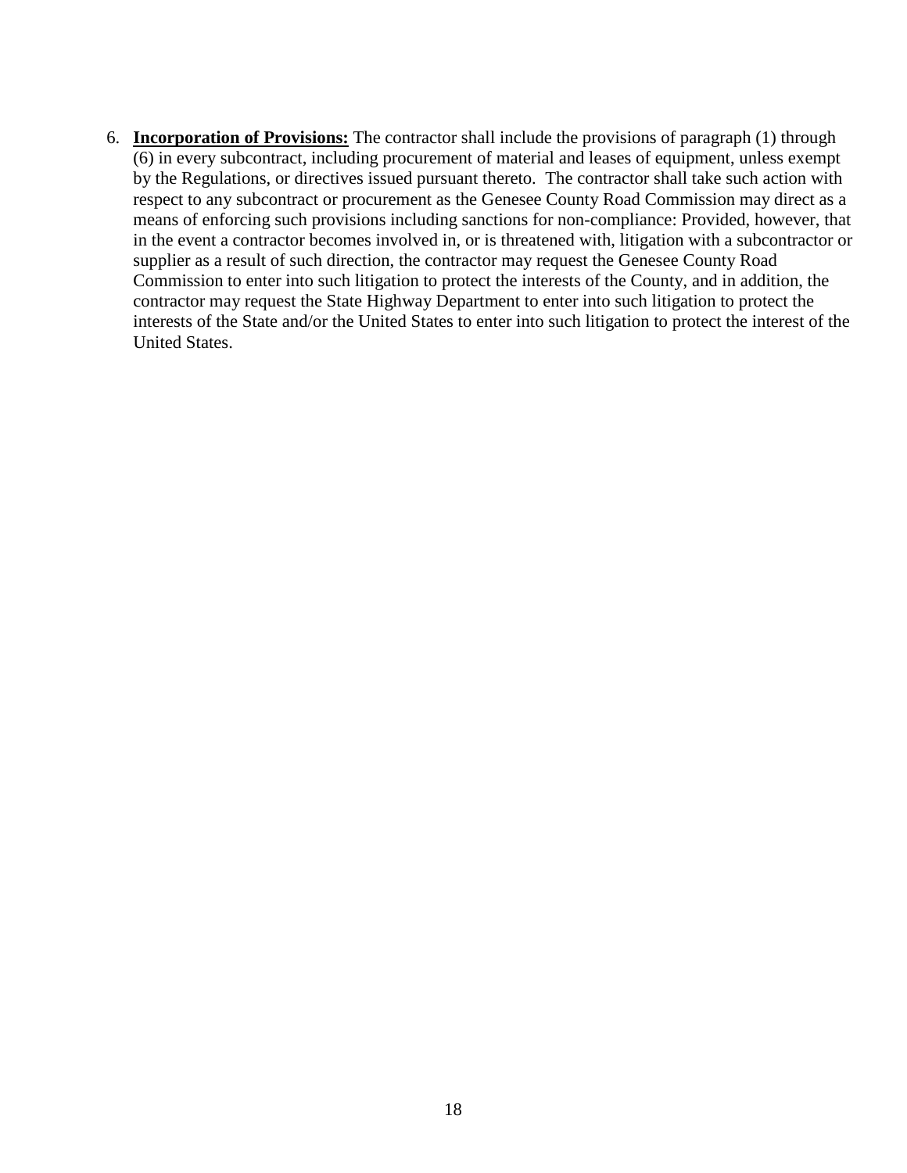6. **Incorporation of Provisions:** The contractor shall include the provisions of paragraph (1) through (6) in every subcontract, including procurement of material and leases of equipment, unless exempt by the Regulations, or directives issued pursuant thereto. The contractor shall take such action with respect to any subcontract or procurement as the Genesee County Road Commission may direct as a means of enforcing such provisions including sanctions for non-compliance: Provided, however, that in the event a contractor becomes involved in, or is threatened with, litigation with a subcontractor or supplier as a result of such direction, the contractor may request the Genesee County Road Commission to enter into such litigation to protect the interests of the County, and in addition, the contractor may request the State Highway Department to enter into such litigation to protect the interests of the State and/or the United States to enter into such litigation to protect the interest of the United States.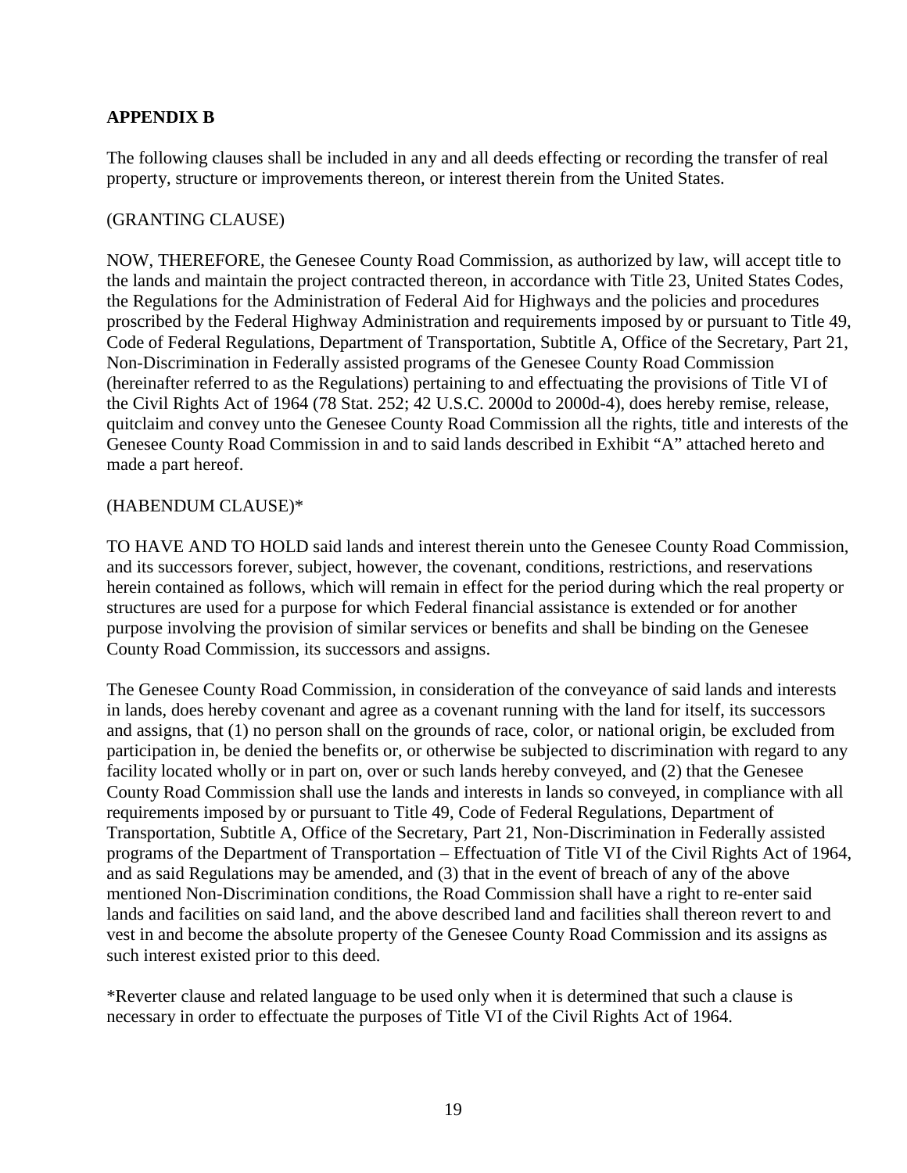# **APPENDIX B**

The following clauses shall be included in any and all deeds effecting or recording the transfer of real property, structure or improvements thereon, or interest therein from the United States.

#### (GRANTING CLAUSE)

NOW, THEREFORE, the Genesee County Road Commission, as authorized by law, will accept title to the lands and maintain the project contracted thereon, in accordance with Title 23, United States Codes, the Regulations for the Administration of Federal Aid for Highways and the policies and procedures proscribed by the Federal Highway Administration and requirements imposed by or pursuant to Title 49, Code of Federal Regulations, Department of Transportation, Subtitle A, Office of the Secretary, Part 21, Non-Discrimination in Federally assisted programs of the Genesee County Road Commission (hereinafter referred to as the Regulations) pertaining to and effectuating the provisions of Title VI of the Civil Rights Act of 1964 (78 Stat. 252; 42 U.S.C. 2000d to 2000d-4), does hereby remise, release, quitclaim and convey unto the Genesee County Road Commission all the rights, title and interests of the Genesee County Road Commission in and to said lands described in Exhibit "A" attached hereto and made a part hereof.

### (HABENDUM CLAUSE)\*

TO HAVE AND TO HOLD said lands and interest therein unto the Genesee County Road Commission, and its successors forever, subject, however, the covenant, conditions, restrictions, and reservations herein contained as follows, which will remain in effect for the period during which the real property or structures are used for a purpose for which Federal financial assistance is extended or for another purpose involving the provision of similar services or benefits and shall be binding on the Genesee County Road Commission, its successors and assigns.

The Genesee County Road Commission, in consideration of the conveyance of said lands and interests in lands, does hereby covenant and agree as a covenant running with the land for itself, its successors and assigns, that (1) no person shall on the grounds of race, color, or national origin, be excluded from participation in, be denied the benefits or, or otherwise be subjected to discrimination with regard to any facility located wholly or in part on, over or such lands hereby conveyed, and (2) that the Genesee County Road Commission shall use the lands and interests in lands so conveyed, in compliance with all requirements imposed by or pursuant to Title 49, Code of Federal Regulations, Department of Transportation, Subtitle A, Office of the Secretary, Part 21, Non-Discrimination in Federally assisted programs of the Department of Transportation – Effectuation of Title VI of the Civil Rights Act of 1964, and as said Regulations may be amended, and (3) that in the event of breach of any of the above mentioned Non-Discrimination conditions, the Road Commission shall have a right to re-enter said lands and facilities on said land, and the above described land and facilities shall thereon revert to and vest in and become the absolute property of the Genesee County Road Commission and its assigns as such interest existed prior to this deed.

\*Reverter clause and related language to be used only when it is determined that such a clause is necessary in order to effectuate the purposes of Title VI of the Civil Rights Act of 1964.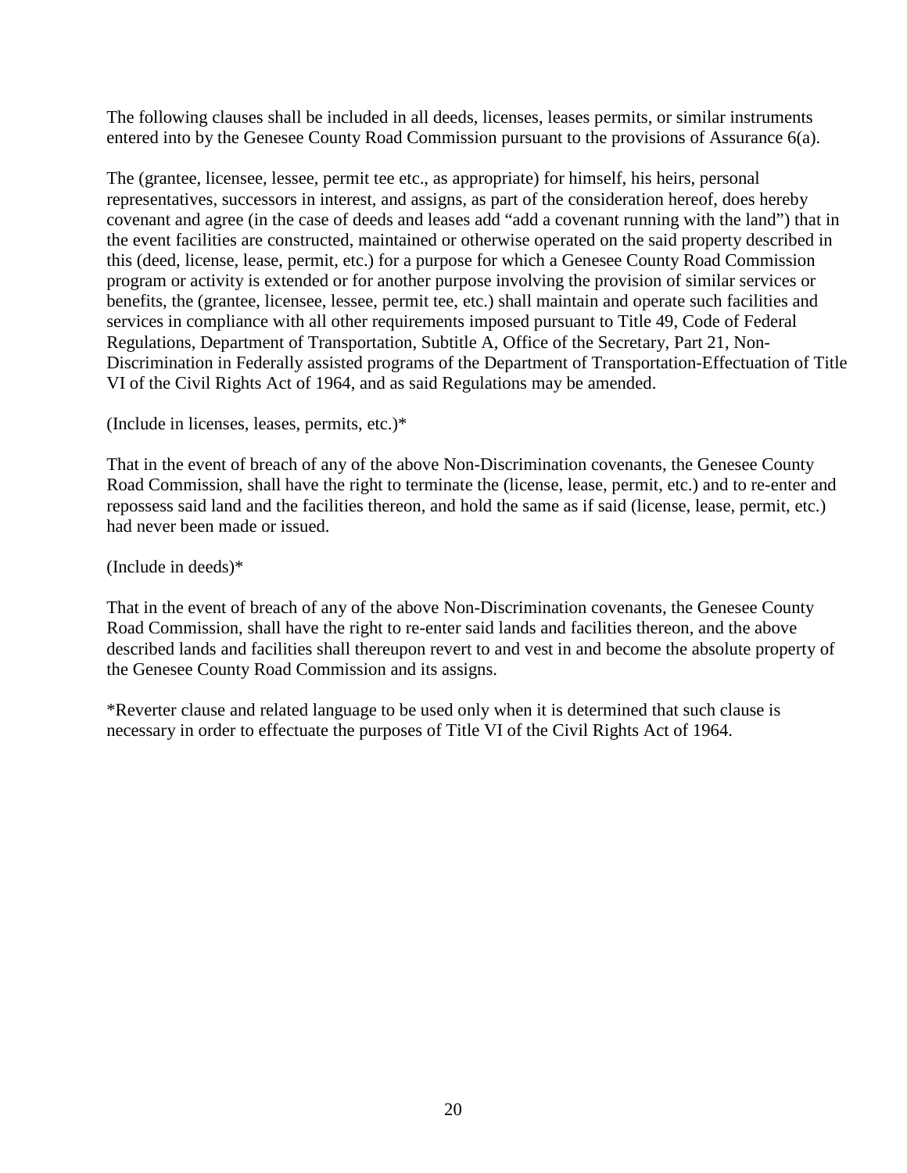The following clauses shall be included in all deeds, licenses, leases permits, or similar instruments entered into by the Genesee County Road Commission pursuant to the provisions of Assurance 6(a).

The (grantee, licensee, lessee, permit tee etc., as appropriate) for himself, his heirs, personal representatives, successors in interest, and assigns, as part of the consideration hereof, does hereby covenant and agree (in the case of deeds and leases add "add a covenant running with the land") that in the event facilities are constructed, maintained or otherwise operated on the said property described in this (deed, license, lease, permit, etc.) for a purpose for which a Genesee County Road Commission program or activity is extended or for another purpose involving the provision of similar services or benefits, the (grantee, licensee, lessee, permit tee, etc.) shall maintain and operate such facilities and services in compliance with all other requirements imposed pursuant to Title 49, Code of Federal Regulations, Department of Transportation, Subtitle A, Office of the Secretary, Part 21, Non-Discrimination in Federally assisted programs of the Department of Transportation-Effectuation of Title VI of the Civil Rights Act of 1964, and as said Regulations may be amended.

(Include in licenses, leases, permits, etc.)\*

That in the event of breach of any of the above Non-Discrimination covenants, the Genesee County Road Commission, shall have the right to terminate the (license, lease, permit, etc.) and to re-enter and repossess said land and the facilities thereon, and hold the same as if said (license, lease, permit, etc.) had never been made or issued.

(Include in deeds)\*

That in the event of breach of any of the above Non-Discrimination covenants, the Genesee County Road Commission, shall have the right to re-enter said lands and facilities thereon, and the above described lands and facilities shall thereupon revert to and vest in and become the absolute property of the Genesee County Road Commission and its assigns.

\*Reverter clause and related language to be used only when it is determined that such clause is necessary in order to effectuate the purposes of Title VI of the Civil Rights Act of 1964.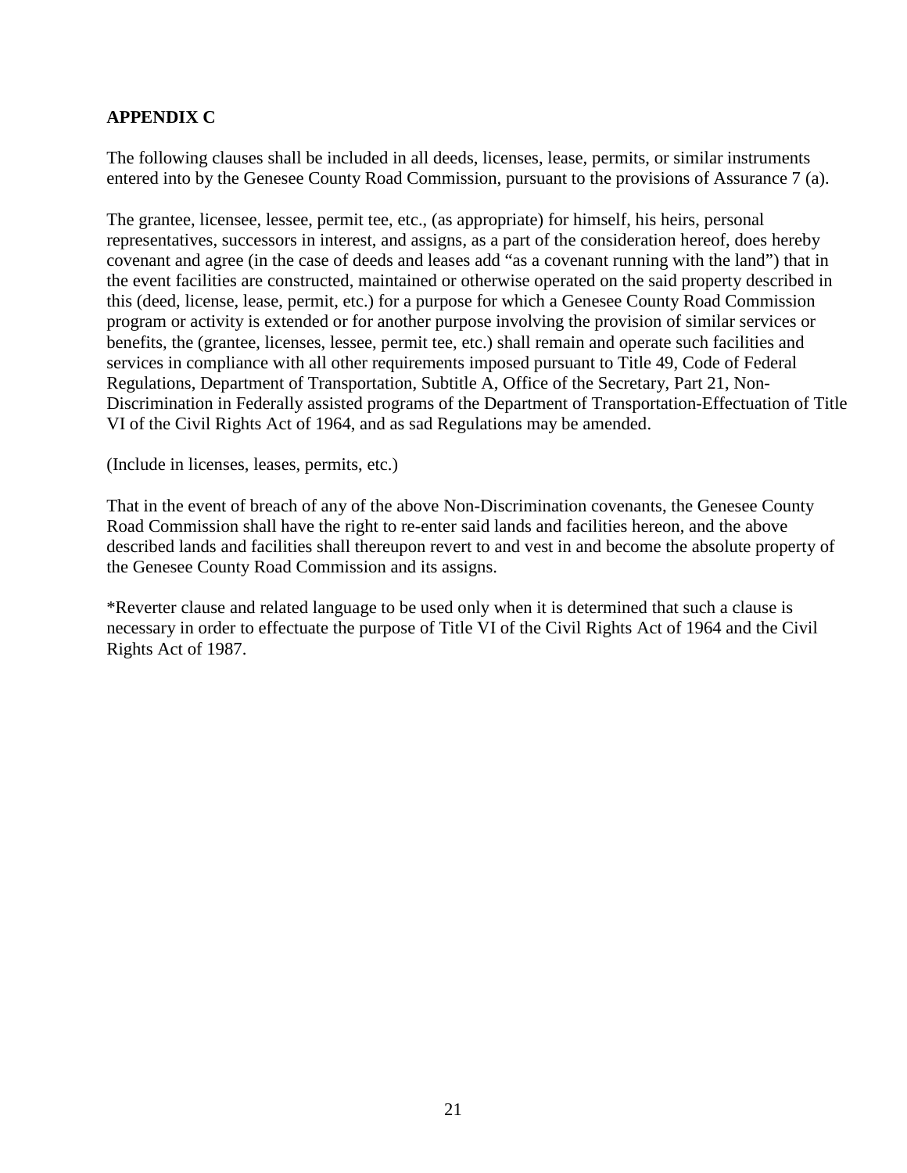# **APPENDIX C**

The following clauses shall be included in all deeds, licenses, lease, permits, or similar instruments entered into by the Genesee County Road Commission, pursuant to the provisions of Assurance 7 (a).

The grantee, licensee, lessee, permit tee, etc., (as appropriate) for himself, his heirs, personal representatives, successors in interest, and assigns, as a part of the consideration hereof, does hereby covenant and agree (in the case of deeds and leases add "as a covenant running with the land") that in the event facilities are constructed, maintained or otherwise operated on the said property described in this (deed, license, lease, permit, etc.) for a purpose for which a Genesee County Road Commission program or activity is extended or for another purpose involving the provision of similar services or benefits, the (grantee, licenses, lessee, permit tee, etc.) shall remain and operate such facilities and services in compliance with all other requirements imposed pursuant to Title 49, Code of Federal Regulations, Department of Transportation, Subtitle A, Office of the Secretary, Part 21, Non-Discrimination in Federally assisted programs of the Department of Transportation-Effectuation of Title VI of the Civil Rights Act of 1964, and as sad Regulations may be amended.

(Include in licenses, leases, permits, etc.)

That in the event of breach of any of the above Non-Discrimination covenants, the Genesee County Road Commission shall have the right to re-enter said lands and facilities hereon, and the above described lands and facilities shall thereupon revert to and vest in and become the absolute property of the Genesee County Road Commission and its assigns.

\*Reverter clause and related language to be used only when it is determined that such a clause is necessary in order to effectuate the purpose of Title VI of the Civil Rights Act of 1964 and the Civil Rights Act of 1987.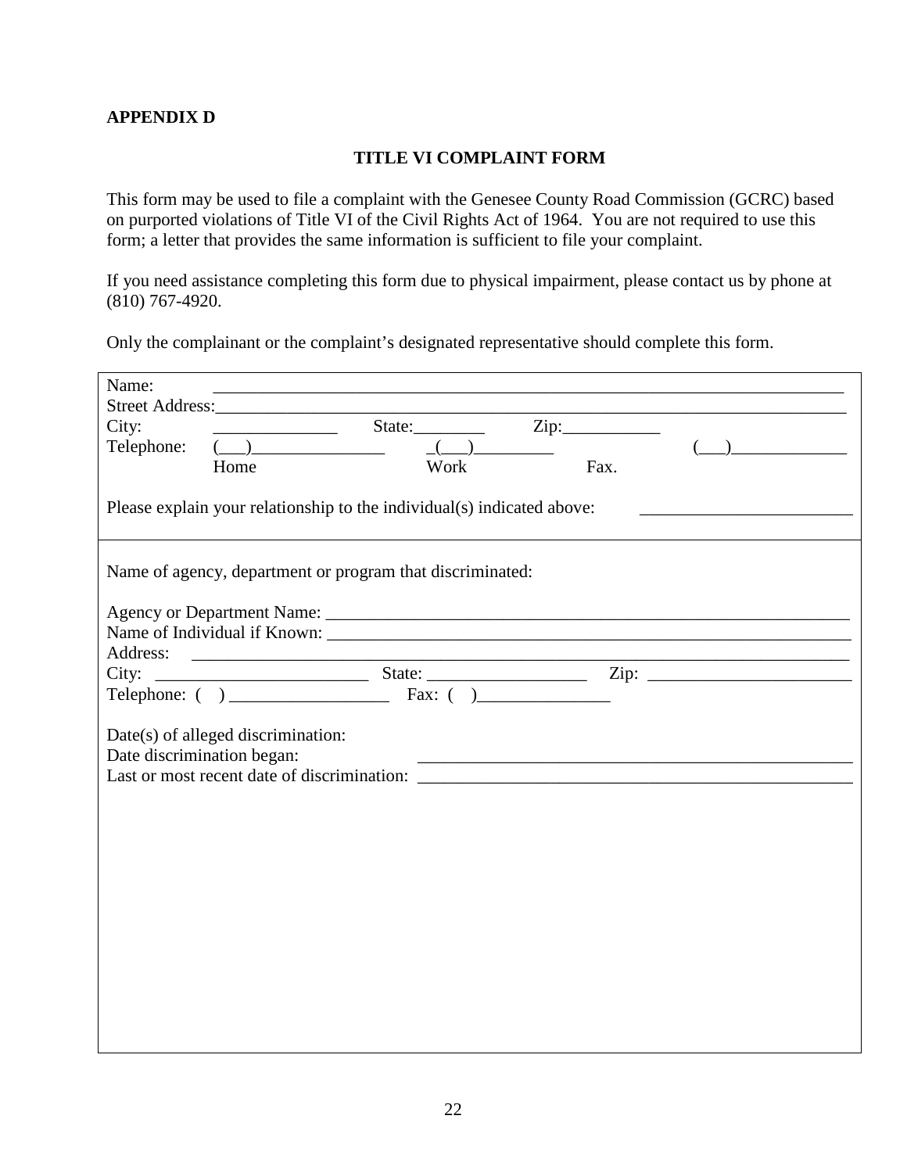#### **TITLE VI COMPLAINT FORM**

This form may be used to file a complaint with the Genesee County Road Commission (GCRC) based on purported violations of Title VI of the Civil Rights Act of 1964. You are not required to use this form; a letter that provides the same information is sufficient to file your complaint.

If you need assistance completing this form due to physical impairment, please contact us by phone at (810) 767-4920.

Only the complainant or the complaint's designated representative should complete this form.

| Name:<br>City:<br>Telephone:                                                                                    | Street Address:<br>$\frac{1}{2}$ and $\frac{1}{2}$ and $\frac{1}{2}$ and $\frac{1}{2}$ and $\frac{1}{2}$ and $\frac{1}{2}$<br>Home | State:<br>Work | Fax. |  |  |  |  |
|-----------------------------------------------------------------------------------------------------------------|------------------------------------------------------------------------------------------------------------------------------------|----------------|------|--|--|--|--|
| Please explain your relationship to the individual(s) indicated above:                                          |                                                                                                                                    |                |      |  |  |  |  |
| Name of agency, department or program that discriminated:                                                       |                                                                                                                                    |                |      |  |  |  |  |
| Address:                                                                                                        |                                                                                                                                    |                |      |  |  |  |  |
|                                                                                                                 |                                                                                                                                    |                |      |  |  |  |  |
| Date(s) of alleged discrimination:<br>Date discrimination began:<br>Last or most recent date of discrimination: |                                                                                                                                    |                |      |  |  |  |  |
|                                                                                                                 |                                                                                                                                    |                |      |  |  |  |  |
|                                                                                                                 |                                                                                                                                    |                |      |  |  |  |  |
|                                                                                                                 |                                                                                                                                    |                |      |  |  |  |  |
|                                                                                                                 |                                                                                                                                    |                |      |  |  |  |  |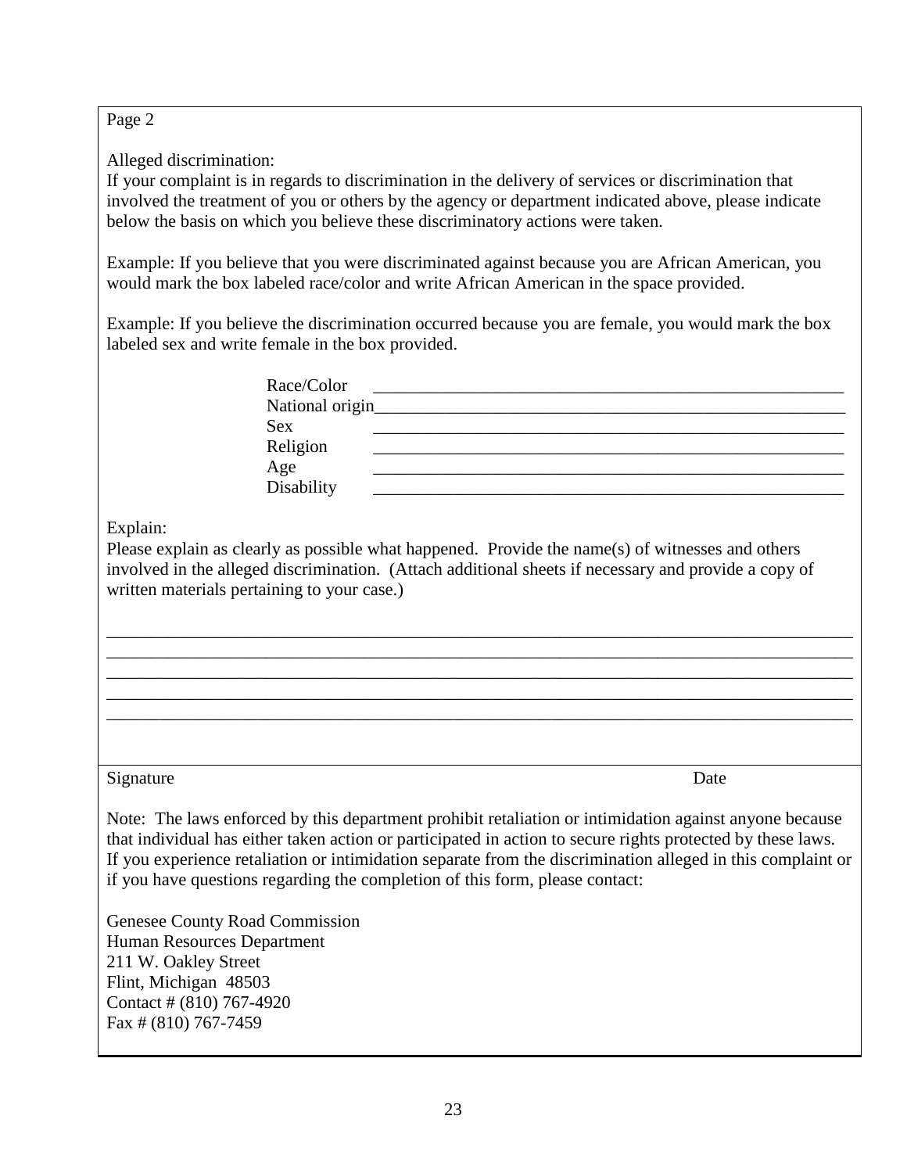# Page 2

Alleged discrimination:

If your complaint is in regards to discrimination in the delivery of services or discrimination that involved the treatment of you or others by the agency or department indicated above, please indicate below the basis on which you believe these discriminatory actions were taken.

Example: If you believe that you were discriminated against because you are African American, you would mark the box labeled race/color and write African American in the space provided.

Example: If you believe the discrimination occurred because you are female, you would mark the box labeled sex and write female in the box provided.

| Race/Color      |  |
|-----------------|--|
| National origin |  |
| <b>Sex</b>      |  |
| Religion        |  |
| Age             |  |
| Disability      |  |

Explain:

Please explain as clearly as possible what happened. Provide the name(s) of witnesses and others involved in the alleged discrimination. (Attach additional sheets if necessary and provide a copy of written materials pertaining to your case.)

\_\_\_\_\_\_\_\_\_\_\_\_\_\_\_\_\_\_\_\_\_\_\_\_\_\_\_\_\_\_\_\_\_\_\_\_\_\_\_\_\_\_\_\_\_\_\_\_\_\_\_\_\_\_\_\_\_\_\_\_\_\_\_\_\_\_\_\_\_\_\_\_\_\_\_\_\_\_\_\_\_\_\_\_ \_\_\_\_\_\_\_\_\_\_\_\_\_\_\_\_\_\_\_\_\_\_\_\_\_\_\_\_\_\_\_\_\_\_\_\_\_\_\_\_\_\_\_\_\_\_\_\_\_\_\_\_\_\_\_\_\_\_\_\_\_\_\_\_\_\_\_\_\_\_\_\_\_\_\_\_\_\_\_\_\_\_\_\_ \_\_\_\_\_\_\_\_\_\_\_\_\_\_\_\_\_\_\_\_\_\_\_\_\_\_\_\_\_\_\_\_\_\_\_\_\_\_\_\_\_\_\_\_\_\_\_\_\_\_\_\_\_\_\_\_\_\_\_\_\_\_\_\_\_\_\_\_\_\_\_\_\_\_\_\_\_\_\_\_\_\_\_\_ \_\_\_\_\_\_\_\_\_\_\_\_\_\_\_\_\_\_\_\_\_\_\_\_\_\_\_\_\_\_\_\_\_\_\_\_\_\_\_\_\_\_\_\_\_\_\_\_\_\_\_\_\_\_\_\_\_\_\_\_\_\_\_\_\_\_\_\_\_\_\_\_\_\_\_\_\_\_\_\_\_\_\_\_ \_\_\_\_\_\_\_\_\_\_\_\_\_\_\_\_\_\_\_\_\_\_\_\_\_\_\_\_\_\_\_\_\_\_\_\_\_\_\_\_\_\_\_\_\_\_\_\_\_\_\_\_\_\_\_\_\_\_\_\_\_\_\_\_\_\_\_\_\_\_\_\_\_\_\_\_\_\_\_\_\_\_\_\_

### Signature Date

Note: The laws enforced by this department prohibit retaliation or intimidation against anyone because that individual has either taken action or participated in action to secure rights protected by these laws. If you experience retaliation or intimidation separate from the discrimination alleged in this complaint or if you have questions regarding the completion of this form, please contact:

Genesee County Road Commission Human Resources Department 211 W. Oakley Street Flint, Michigan 48503 Contact # (810) 767-4920 Fax # (810) 767-7459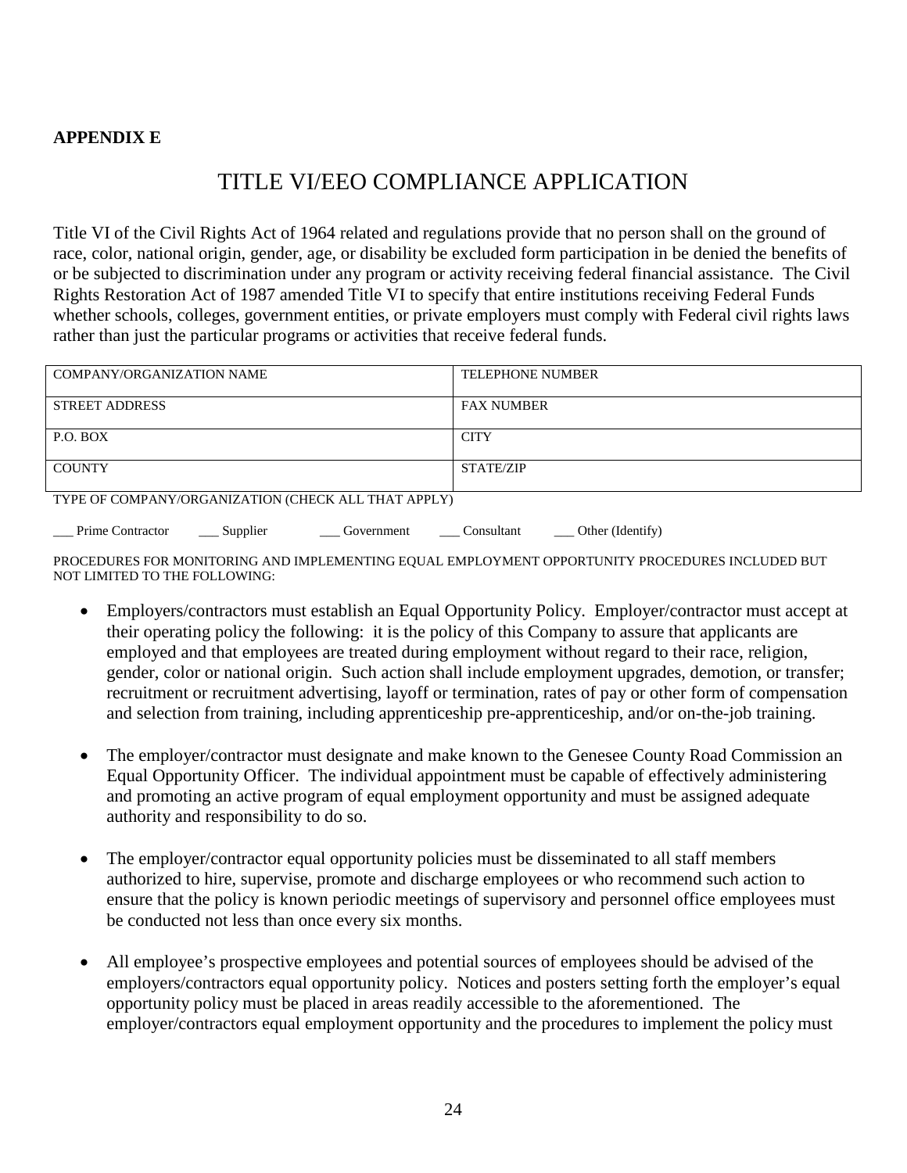#### **APPENDIX E**

# TITLE VI/EEO COMPLIANCE APPLICATION

Title VI of the Civil Rights Act of 1964 related and regulations provide that no person shall on the ground of race, color, national origin, gender, age, or disability be excluded form participation in be denied the benefits of or be subjected to discrimination under any program or activity receiving federal financial assistance. The Civil Rights Restoration Act of 1987 amended Title VI to specify that entire institutions receiving Federal Funds whether schools, colleges, government entities, or private employers must comply with Federal civil rights laws rather than just the particular programs or activities that receive federal funds.

| <b>COMPANY/ORGANIZATION NAME</b>                    | <b>TELEPHONE NUMBER</b> |  |  |
|-----------------------------------------------------|-------------------------|--|--|
|                                                     |                         |  |  |
|                                                     |                         |  |  |
|                                                     |                         |  |  |
| STREET ADDRESS                                      | <b>FAX NUMBER</b>       |  |  |
|                                                     |                         |  |  |
|                                                     |                         |  |  |
| P.O. BOX                                            | <b>CITY</b>             |  |  |
|                                                     |                         |  |  |
|                                                     |                         |  |  |
|                                                     |                         |  |  |
| <b>COUNTY</b>                                       | STATE/ZIP               |  |  |
|                                                     |                         |  |  |
|                                                     |                         |  |  |
| TYPE OF COMPANY/ORGANIZATION (CHECK ALL THAT APPLY) |                         |  |  |
|                                                     |                         |  |  |

Prime Contractor \_\_\_\_ Supplier \_\_\_\_\_ Government \_\_\_\_ Consultant \_\_\_\_ Other (Identify)

PROCEDURES FOR MONITORING AND IMPLEMENTING EQUAL EMPLOYMENT OPPORTUNITY PROCEDURES INCLUDED BUT NOT LIMITED TO THE FOLLOWING:

- Employers/contractors must establish an Equal Opportunity Policy. Employer/contractor must accept at their operating policy the following: it is the policy of this Company to assure that applicants are employed and that employees are treated during employment without regard to their race, religion, gender, color or national origin. Such action shall include employment upgrades, demotion, or transfer; recruitment or recruitment advertising, layoff or termination, rates of pay or other form of compensation and selection from training, including apprenticeship pre-apprenticeship, and/or on-the-job training.
- The employer/contractor must designate and make known to the Genesee County Road Commission an Equal Opportunity Officer. The individual appointment must be capable of effectively administering and promoting an active program of equal employment opportunity and must be assigned adequate authority and responsibility to do so.
- The employer/contractor equal opportunity policies must be disseminated to all staff members authorized to hire, supervise, promote and discharge employees or who recommend such action to ensure that the policy is known periodic meetings of supervisory and personnel office employees must be conducted not less than once every six months.
- All employee's prospective employees and potential sources of employees should be advised of the employers/contractors equal opportunity policy. Notices and posters setting forth the employer's equal opportunity policy must be placed in areas readily accessible to the aforementioned. The employer/contractors equal employment opportunity and the procedures to implement the policy must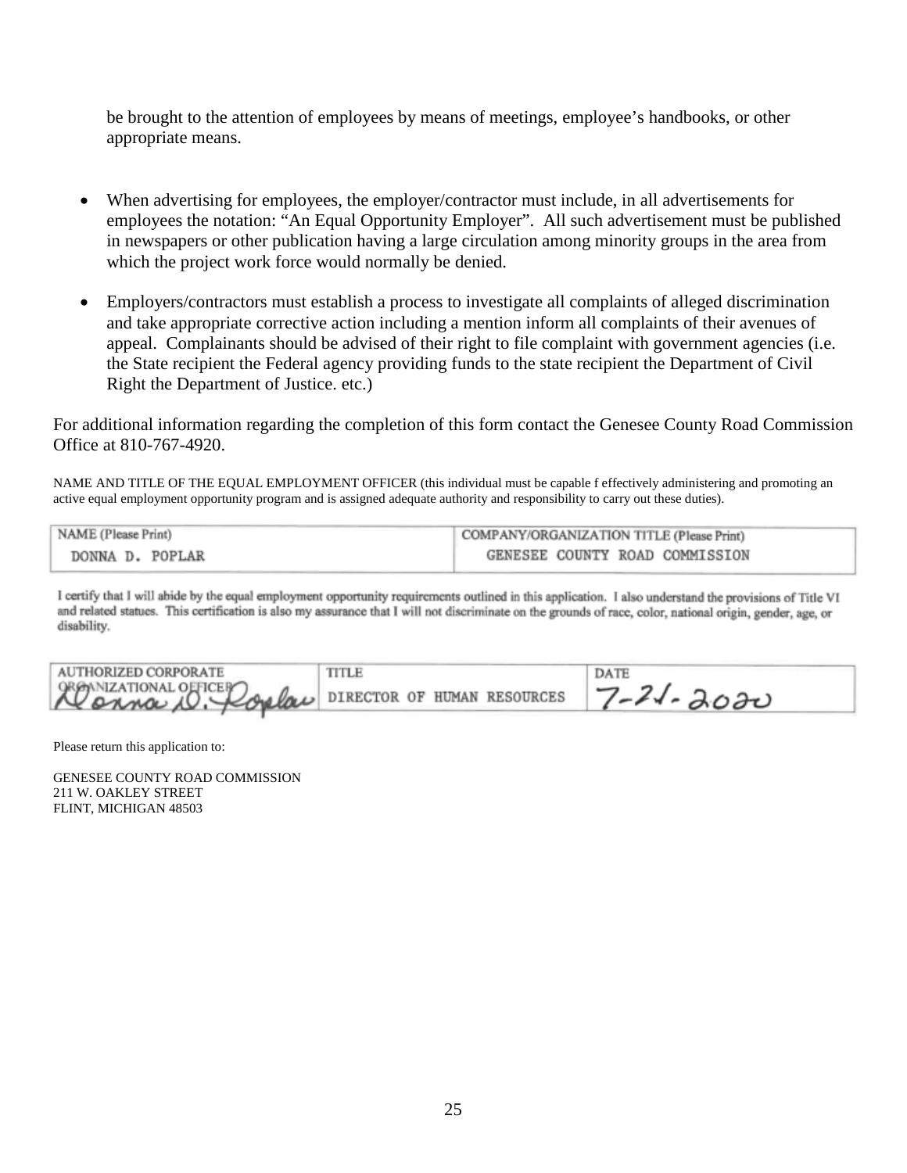be brought to the attention of employees by means of meetings, employee's handbooks, or other appropriate means.

- When advertising for employees, the employer/contractor must include, in all advertisements for employees the notation: "An Equal Opportunity Employer". All such advertisement must be published in newspapers or other publication having a large circulation among minority groups in the area from which the project work force would normally be denied.
- Employers/contractors must establish a process to investigate all complaints of alleged discrimination and take appropriate corrective action including a mention inform all complaints of their avenues of appeal. Complainants should be advised of their right to file complaint with government agencies (i.e. the State recipient the Federal agency providing funds to the state recipient the Department of Civil Right the Department of Justice. etc.)

For additional information regarding the completion of this form contact the Genesee County Road Commission Office at 810-767-4920.

NAME AND TITLE OF THE EQUAL EMPLOYMENT OFFICER (this individual must be capable f effectively administering and promoting an active equal employment opportunity program and is assigned adequate authority and responsibility to carry out these duties).

| NAME (Please Print) | COMPANY/ORGANIZATION TITLE (Please Print) |  |
|---------------------|-------------------------------------------|--|
| DONNA D. POPLAR     | GENESEE COUNTY ROAD COMMISSION            |  |

I certify that I will abide by the equal employment opportunity requirements outlined in this application. I also understand the provisions of Title VI and related statues. This certification is also my assurance that I will not discriminate on the grounds of race, color, national origin, gender, age, or disability.

| AUTHORIZED CORPORATE                                          | TITLE | <b>DATE</b> |
|---------------------------------------------------------------|-------|-------------|
| He onna OFFICEP Copelar DIRECTOR OF HUMAN RESOURCES 7-21-2020 |       |             |

Please return this application to:

GENESEE COUNTY ROAD COMMISSION 211 W. OAKLEY STREET FLINT, MICHIGAN 48503